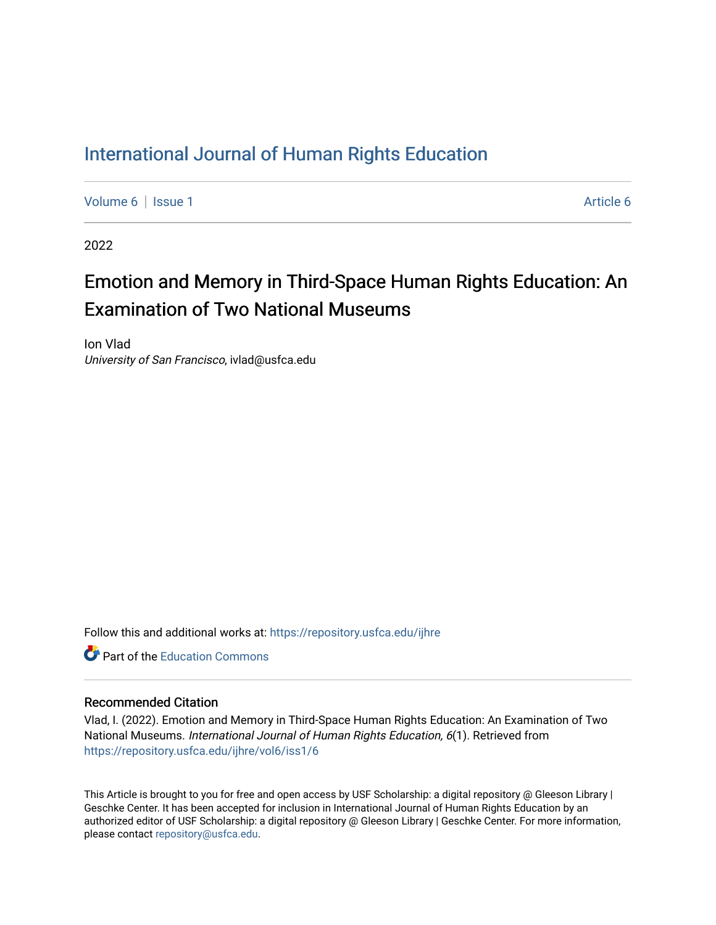### [International Journal of Human Rights Education](https://repository.usfca.edu/ijhre)

[Volume 6](https://repository.usfca.edu/ijhre/vol6) | [Issue 1](https://repository.usfca.edu/ijhre/vol6/iss1) [Article 6](https://repository.usfca.edu/ijhre/vol6/iss1/6) | Article 6 | Article 6 | Article 6 | Article 6 | Article 6 | Article 6 | Article 6 | Article 6 | Article 6 | Article 6 | Article 6 | Article 6 | Article 6 | Article 6 | Article 6 | Article 6 |

2022

## Emotion and Memory in Third-Space Human Rights Education: An Examination of Two National Museums

Ion Vlad University of San Francisco, ivlad@usfca.edu

Follow this and additional works at: [https://repository.usfca.edu/ijhre](https://repository.usfca.edu/ijhre?utm_source=repository.usfca.edu%2Fijhre%2Fvol6%2Fiss1%2F6&utm_medium=PDF&utm_campaign=PDFCoverPages) 

**C** Part of the [Education Commons](http://network.bepress.com/hgg/discipline/784?utm_source=repository.usfca.edu%2Fijhre%2Fvol6%2Fiss1%2F6&utm_medium=PDF&utm_campaign=PDFCoverPages)

#### Recommended Citation

Vlad, I. (2022). Emotion and Memory in Third-Space Human Rights Education: An Examination of Two National Museums. International Journal of Human Rights Education, 6(1). Retrieved from [https://repository.usfca.edu/ijhre/vol6/iss1/6](https://repository.usfca.edu/ijhre/vol6/iss1/6?utm_source=repository.usfca.edu%2Fijhre%2Fvol6%2Fiss1%2F6&utm_medium=PDF&utm_campaign=PDFCoverPages) 

This Article is brought to you for free and open access by USF Scholarship: a digital repository @ Gleeson Library | Geschke Center. It has been accepted for inclusion in International Journal of Human Rights Education by an authorized editor of USF Scholarship: a digital repository @ Gleeson Library | Geschke Center. For more information, please contact [repository@usfca.edu.](mailto:repository@usfca.edu)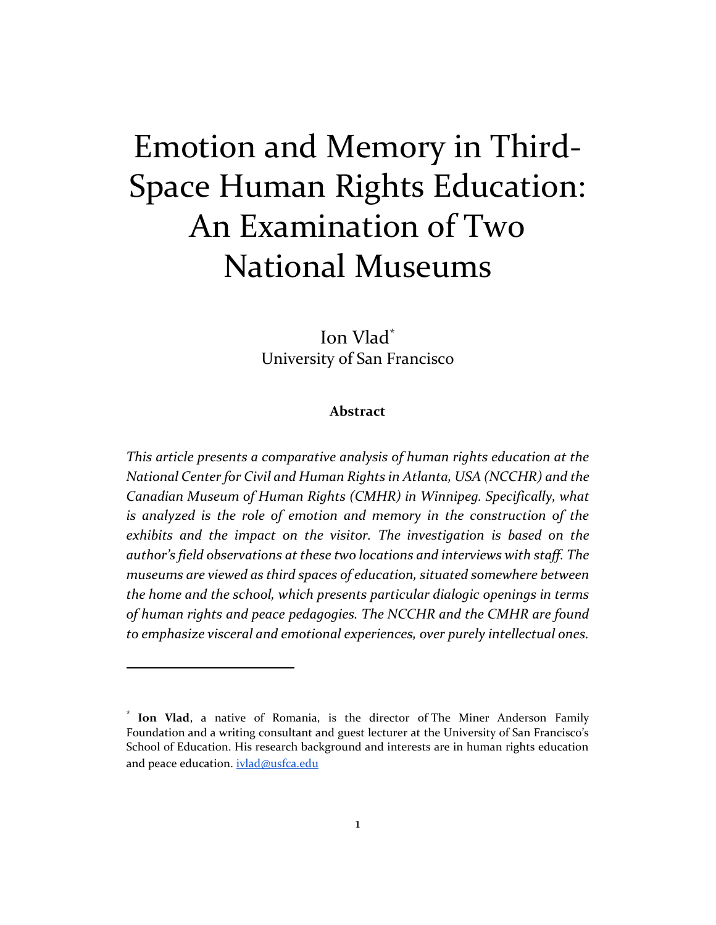# Emotion and Memory in Third-Space Human Rights Education: An Examination of Two National Museums

Ion Vlad\* University of San Francisco

#### **Abstract**

*This article presents a comparative analysis of human rights education at the National Center for Civil and Human Rights in Atlanta, USA (NCCHR) and the Canadian Museum of Human Rights (CMHR) in Winnipeg. Specifically, what is analyzed is the role of emotion and memory in the construction of the exhibits and the impact on the visitor. The investigation is based on the author's field observations at these two locations and interviews with staff. The museums are viewed as third spaces of education, situated somewhere between the home and the school, which presents particular dialogic openings in terms of human rights and peace pedagogies. The NCCHR and the CMHR are found to emphasize visceral and emotional experiences, over purely intellectual ones.* 

<sup>\*</sup> **Ion Vlad**, a native of Romania, is the director of The Miner Anderson Family Foundation and a writing consultant and guest lecturer at the University of San Francisco's School of Education. His research background and interests are in human rights education and peace education. [ivlad@usfca.edu](mailto:ivlad@usfca.edu)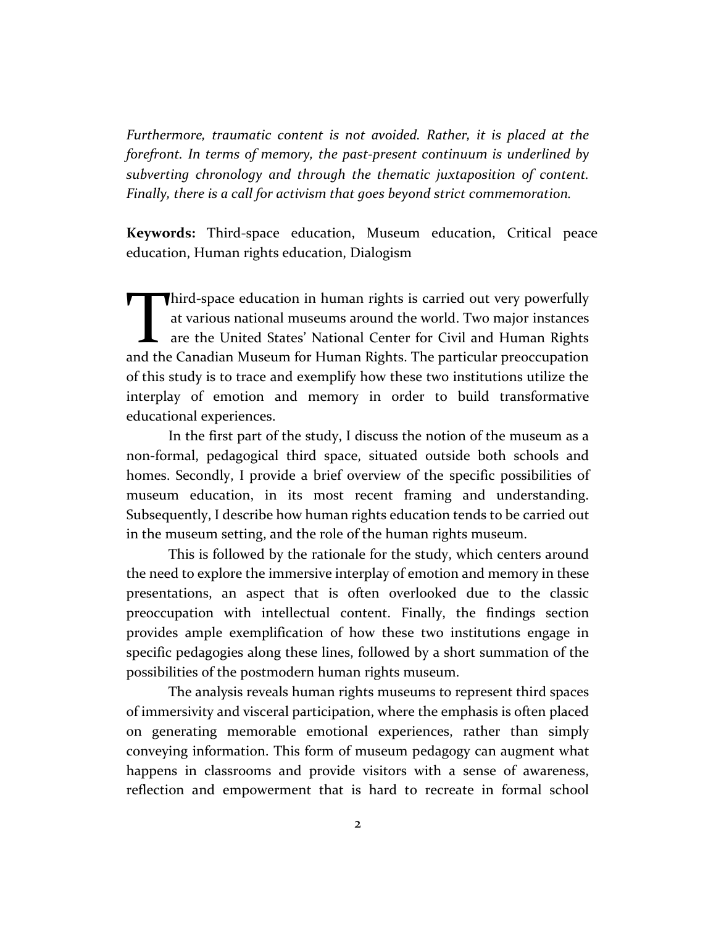*Furthermore, traumatic content is not avoided. Rather, it is placed at the forefront. In terms of memory, the past-present continuum is underlined by subverting chronology and through the thematic juxtaposition of content. Finally, there is a call for activism that goes beyond strict commemoration.* 

**Keywords:** Third-space education, Museum education, Critical peace education, Human rights education, Dialogism

hird-space education in human rights is carried out very powerfully at various national museums around the world. Two major instances are the United States' National Center for Civil and Human Rights Third-space education in human rights is carried out very powerfully at various national museums around the world. Two major instances are the United States' National Center for Civil and Human Rights and the Canadian Muse of this study is to trace and exemplify how these two institutions utilize the interplay of emotion and memory in order to build transformative educational experiences.

In the first part of the study, I discuss the notion of the museum as a non-formal, pedagogical third space, situated outside both schools and homes. Secondly, I provide a brief overview of the specific possibilities of museum education, in its most recent framing and understanding. Subsequently, I describe how human rights education tends to be carried out in the museum setting, and the role of the human rights museum.

This is followed by the rationale for the study, which centers around the need to explore the immersive interplay of emotion and memory in these presentations, an aspect that is often overlooked due to the classic preoccupation with intellectual content. Finally, the findings section provides ample exemplification of how these two institutions engage in specific pedagogies along these lines, followed by a short summation of the possibilities of the postmodern human rights museum.

The analysis reveals human rights museums to represent third spaces of immersivity and visceral participation, where the emphasis is often placed on generating memorable emotional experiences, rather than simply conveying information. This form of museum pedagogy can augment what happens in classrooms and provide visitors with a sense of awareness, reflection and empowerment that is hard to recreate in formal school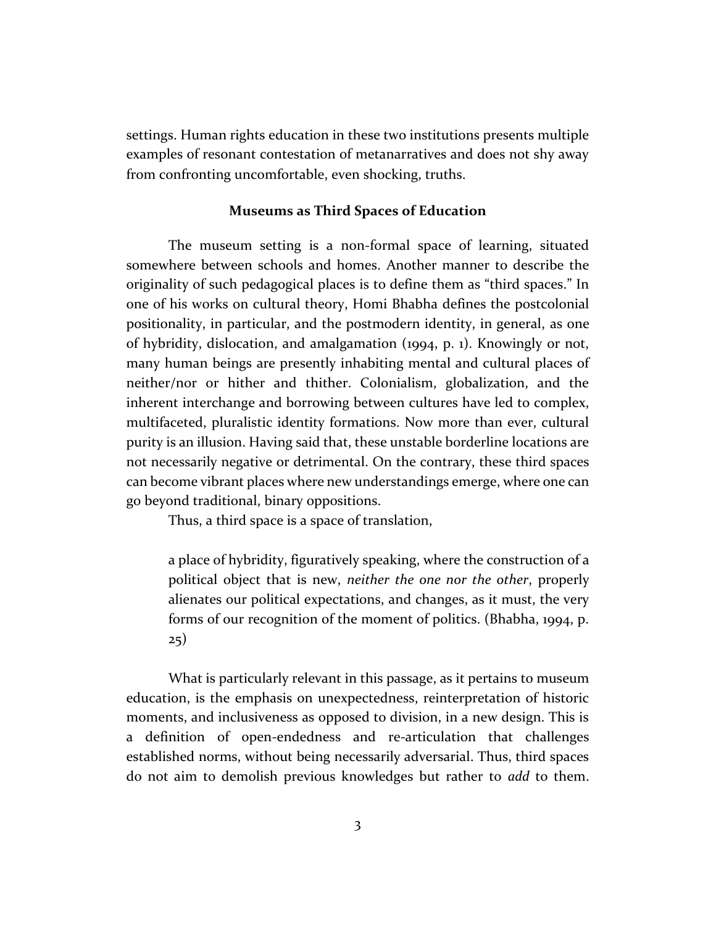settings. Human rights education in these two institutions presents multiple examples of resonant contestation of metanarratives and does not shy away from confronting uncomfortable, even shocking, truths.

#### **Museums as Third Spaces of Education**

The museum setting is a non-formal space of learning, situated somewhere between schools and homes. Another manner to describe the originality of such pedagogical places is to define them as "third spaces." In one of his works on cultural theory, Homi Bhabha defines the postcolonial positionality, in particular, and the postmodern identity, in general, as one of hybridity, dislocation, and amalgamation (1994, p. 1). Knowingly or not, many human beings are presently inhabiting mental and cultural places of neither/nor or hither and thither. Colonialism, globalization, and the inherent interchange and borrowing between cultures have led to complex, multifaceted, pluralistic identity formations. Now more than ever, cultural purity is an illusion. Having said that, these unstable borderline locations are not necessarily negative or detrimental. On the contrary, these third spaces can become vibrant places where new understandings emerge, where one can go beyond traditional, binary oppositions.

Thus, a third space is a space of translation,

a place of hybridity, figuratively speaking, where the construction of a political object that is new, *neither the one nor the other*, properly alienates our political expectations, and changes, as it must, the very forms of our recognition of the moment of politics. (Bhabha, 1994, p. 25)

What is particularly relevant in this passage, as it pertains to museum education, is the emphasis on unexpectedness, reinterpretation of historic moments, and inclusiveness as opposed to division, in a new design. This is a definition of open-endedness and re-articulation that challenges established norms, without being necessarily adversarial. Thus, third spaces do not aim to demolish previous knowledges but rather to *add* to them.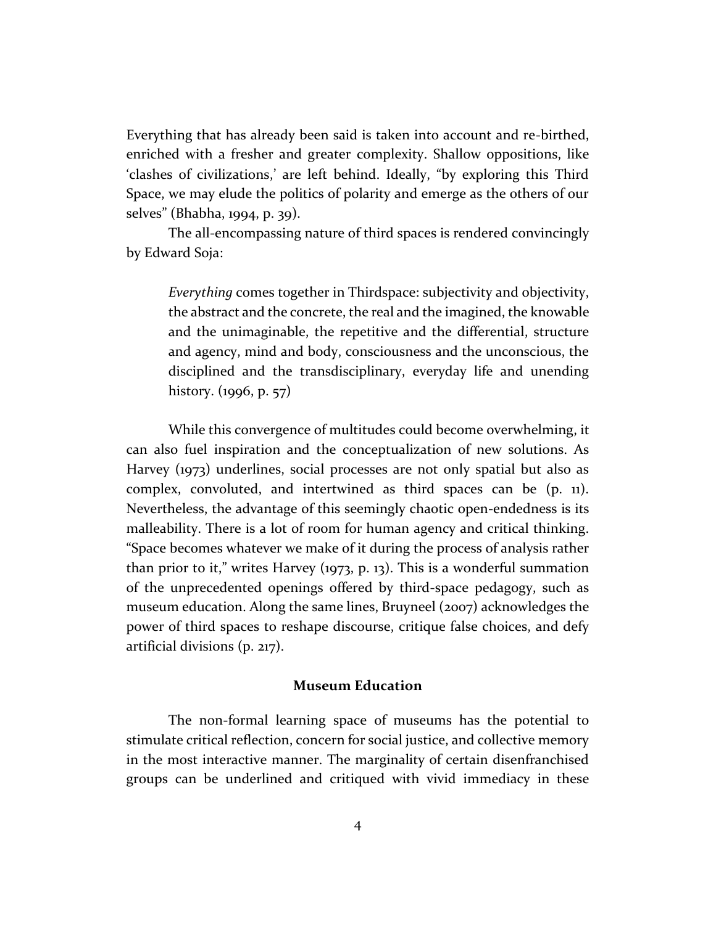Everything that has already been said is taken into account and re-birthed, enriched with a fresher and greater complexity. Shallow oppositions, like 'clashes of civilizations,' are left behind. Ideally, "by exploring this Third Space, we may elude the politics of polarity and emerge as the others of our selves" (Bhabha, 1994, p. 39).

The all-encompassing nature of third spaces is rendered convincingly by Edward Soja:

*Everything* comes together in Thirdspace: subjectivity and objectivity, the abstract and the concrete, the real and the imagined, the knowable and the unimaginable, the repetitive and the differential, structure and agency, mind and body, consciousness and the unconscious, the disciplined and the transdisciplinary, everyday life and unending history. (1996, p. 57)

While this convergence of multitudes could become overwhelming, it can also fuel inspiration and the conceptualization of new solutions. As Harvey (1973) underlines, social processes are not only spatial but also as complex, convoluted, and intertwined as third spaces can be (p. 11). Nevertheless, the advantage of this seemingly chaotic open-endedness is its malleability. There is a lot of room for human agency and critical thinking. "Space becomes whatever we make of it during the process of analysis rather than prior to it," writes Harvey (1973, p. 13). This is a wonderful summation of the unprecedented openings offered by third-space pedagogy, such as museum education. Along the same lines, Bruyneel (2007) acknowledges the power of third spaces to reshape discourse, critique false choices, and defy artificial divisions (p. 217).

#### **Museum Education**

The non-formal learning space of museums has the potential to stimulate critical reflection, concern for social justice, and collective memory in the most interactive manner. The marginality of certain disenfranchised groups can be underlined and critiqued with vivid immediacy in these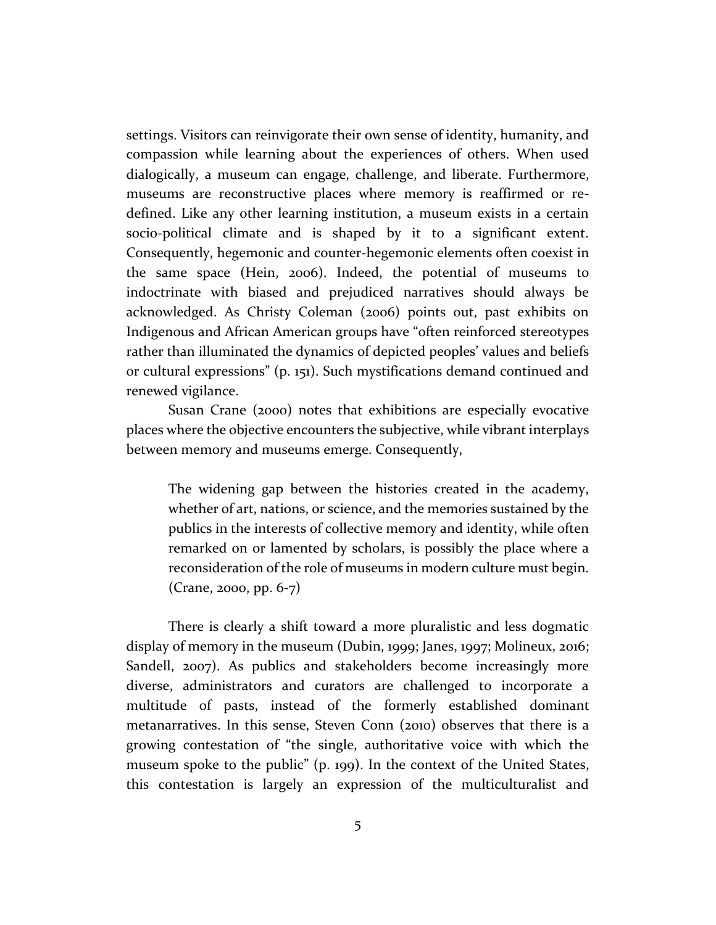settings. Visitors can reinvigorate their own sense of identity, humanity, and compassion while learning about the experiences of others. When used dialogically, a museum can engage, challenge, and liberate. Furthermore, museums are reconstructive places where memory is reaffirmed or redefined. Like any other learning institution, a museum exists in a certain socio-political climate and is shaped by it to a significant extent. Consequently, hegemonic and counter-hegemonic elements often coexist in the same space (Hein, 2006). Indeed, the potential of museums to indoctrinate with biased and prejudiced narratives should always be acknowledged. As Christy Coleman (2006) points out, past exhibits on Indigenous and African American groups have "often reinforced stereotypes rather than illuminated the dynamics of depicted peoples' values and beliefs or cultural expressions" (p. 151). Such mystifications demand continued and renewed vigilance.

Susan Crane (2000) notes that exhibitions are especially evocative places where the objective encounters the subjective, while vibrant interplays between memory and museums emerge. Consequently,

The widening gap between the histories created in the academy, whether of art, nations, or science, and the memories sustained by the publics in the interests of collective memory and identity, while often remarked on or lamented by scholars, is possibly the place where a reconsideration of the role of museums in modern culture must begin. (Crane, 2000, pp. 6-7)

There is clearly a shift toward a more pluralistic and less dogmatic display of memory in the museum (Dubin, 1999; Janes, 1997; Molineux, 2016; Sandell, 2007). As publics and stakeholders become increasingly more diverse, administrators and curators are challenged to incorporate a multitude of pasts, instead of the formerly established dominant metanarratives. In this sense, Steven Conn (2010) observes that there is a growing contestation of "the single, authoritative voice with which the museum spoke to the public" (p. 199). In the context of the United States, this contestation is largely an expression of the multiculturalist and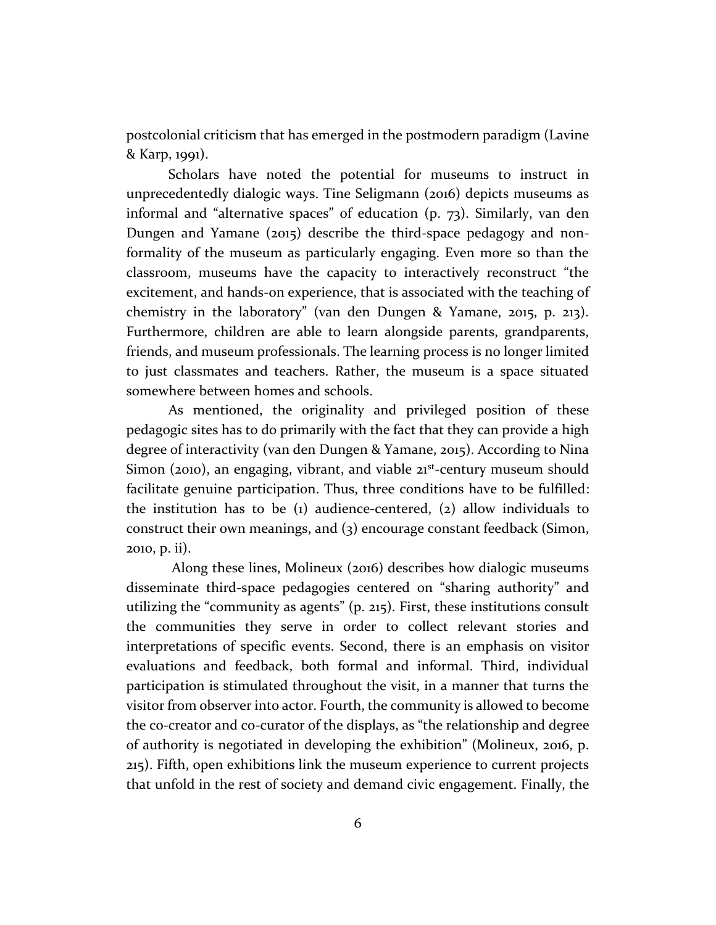postcolonial criticism that has emerged in the postmodern paradigm (Lavine & Karp, 1991).

Scholars have noted the potential for museums to instruct in unprecedentedly dialogic ways. Tine Seligmann (2016) depicts museums as informal and "alternative spaces" of education (p. 73). Similarly, van den Dungen and Yamane (2015) describe the third-space pedagogy and nonformality of the museum as particularly engaging. Even more so than the classroom, museums have the capacity to interactively reconstruct "the excitement, and hands-on experience, that is associated with the teaching of chemistry in the laboratory" (van den Dungen & Yamane, 2015, p. 213). Furthermore, children are able to learn alongside parents, grandparents, friends, and museum professionals. The learning process is no longer limited to just classmates and teachers. Rather, the museum is a space situated somewhere between homes and schools.

As mentioned, the originality and privileged position of these pedagogic sites has to do primarily with the fact that they can provide a high degree of interactivity (van den Dungen & Yamane, 2015). According to Nina Simon (2010), an engaging, vibrant, and viable 21<sup>st</sup>-century museum should facilitate genuine participation. Thus, three conditions have to be fulfilled: the institution has to be (1) audience-centered, (2) allow individuals to construct their own meanings, and (3) encourage constant feedback (Simon, 2010, p. ii).

Along these lines, Molineux (2016) describes how dialogic museums disseminate third-space pedagogies centered on "sharing authority" and utilizing the "community as agents" (p. 215). First, these institutions consult the communities they serve in order to collect relevant stories and interpretations of specific events. Second, there is an emphasis on visitor evaluations and feedback, both formal and informal. Third, individual participation is stimulated throughout the visit, in a manner that turns the visitor from observer into actor. Fourth, the community is allowed to become the co-creator and co-curator of the displays, as "the relationship and degree of authority is negotiated in developing the exhibition" (Molineux, 2016, p. 215). Fifth, open exhibitions link the museum experience to current projects that unfold in the rest of society and demand civic engagement. Finally, the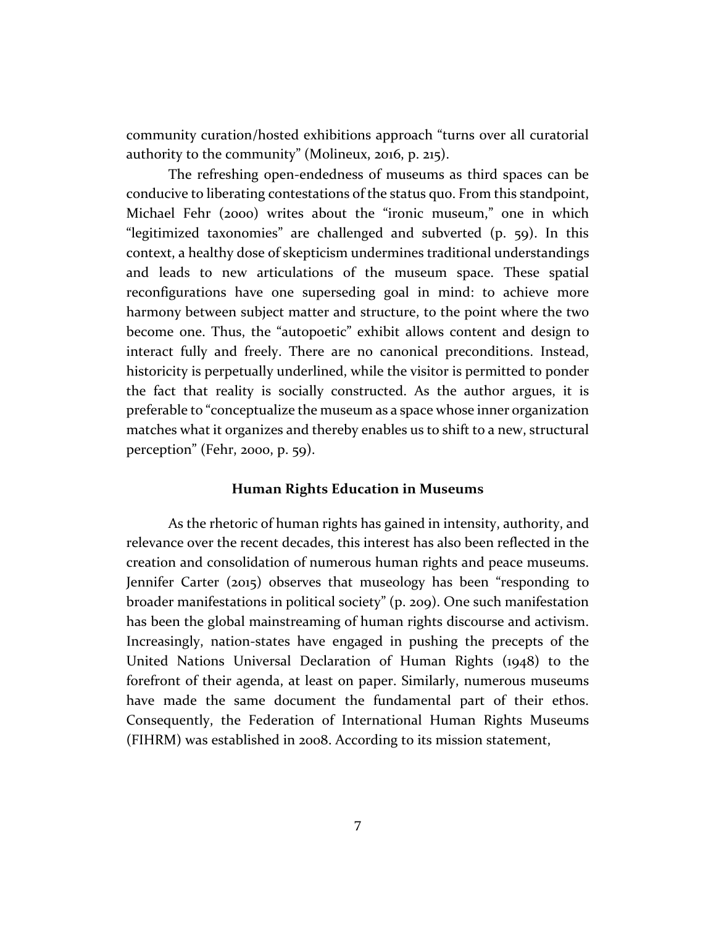community curation/hosted exhibitions approach "turns over all curatorial authority to the community" (Molineux, 2016, p. 215).

The refreshing open-endedness of museums as third spaces can be conducive to liberating contestations of the status quo. From this standpoint, Michael Fehr (2000) writes about the "ironic museum," one in which "legitimized taxonomies" are challenged and subverted (p. 59). In this context, a healthy dose of skepticism undermines traditional understandings and leads to new articulations of the museum space. These spatial reconfigurations have one superseding goal in mind: to achieve more harmony between subject matter and structure, to the point where the two become one. Thus, the "autopoetic" exhibit allows content and design to interact fully and freely. There are no canonical preconditions. Instead, historicity is perpetually underlined, while the visitor is permitted to ponder the fact that reality is socially constructed. As the author argues, it is preferable to "conceptualize the museum as a space whose inner organization matches what it organizes and thereby enables us to shift to a new, structural perception" (Fehr, 2000, p. 59).

#### **Human Rights Education in Museums**

As the rhetoric of human rights has gained in intensity, authority, and relevance over the recent decades, this interest has also been reflected in the creation and consolidation of numerous human rights and peace museums. Jennifer Carter (2015) observes that museology has been "responding to broader manifestations in political society" (p. 209). One such manifestation has been the global mainstreaming of human rights discourse and activism. Increasingly, nation-states have engaged in pushing the precepts of the United Nations Universal Declaration of Human Rights (1948) to the forefront of their agenda, at least on paper. Similarly, numerous museums have made the same document the fundamental part of their ethos. Consequently, the Federation of International Human Rights Museums (FIHRM) was established in 2008. According to its mission statement,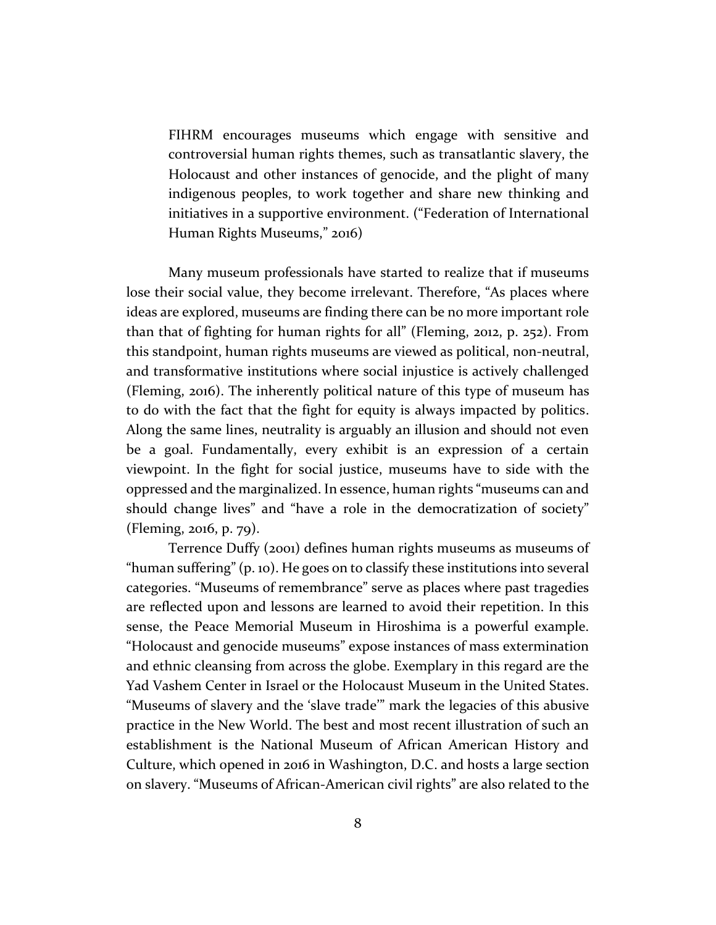FIHRM encourages museums which engage with sensitive and controversial human rights themes, such as transatlantic slavery, the Holocaust and other instances of genocide, and the plight of many indigenous peoples, to work together and share new thinking and initiatives in a supportive environment. ("Federation of International Human Rights Museums," 2016)

Many museum professionals have started to realize that if museums lose their social value, they become irrelevant. Therefore, "As places where ideas are explored, museums are finding there can be no more important role than that of fighting for human rights for all" (Fleming, 2012, p. 252). From this standpoint, human rights museums are viewed as political, non-neutral, and transformative institutions where social injustice is actively challenged (Fleming, 2016). The inherently political nature of this type of museum has to do with the fact that the fight for equity is always impacted by politics. Along the same lines, neutrality is arguably an illusion and should not even be a goal. Fundamentally, every exhibit is an expression of a certain viewpoint. In the fight for social justice, museums have to side with the oppressed and the marginalized. In essence, human rights "museums can and should change lives" and "have a role in the democratization of society" (Fleming, 2016, p. 79).

Terrence Duffy (2001) defines human rights museums as museums of "human suffering" (p. 10). He goes on to classify these institutions into several categories. "Museums of remembrance" serve as places where past tragedies are reflected upon and lessons are learned to avoid their repetition. In this sense, the Peace Memorial Museum in Hiroshima is a powerful example. "Holocaust and genocide museums" expose instances of mass extermination and ethnic cleansing from across the globe. Exemplary in this regard are the Yad Vashem Center in Israel or the Holocaust Museum in the United States. "Museums of slavery and the 'slave trade'" mark the legacies of this abusive practice in the New World. The best and most recent illustration of such an establishment is the National Museum of African American History and Culture, which opened in 2016 in Washington, D.C. and hosts a large section on slavery. "Museums of African-American civil rights" are also related to the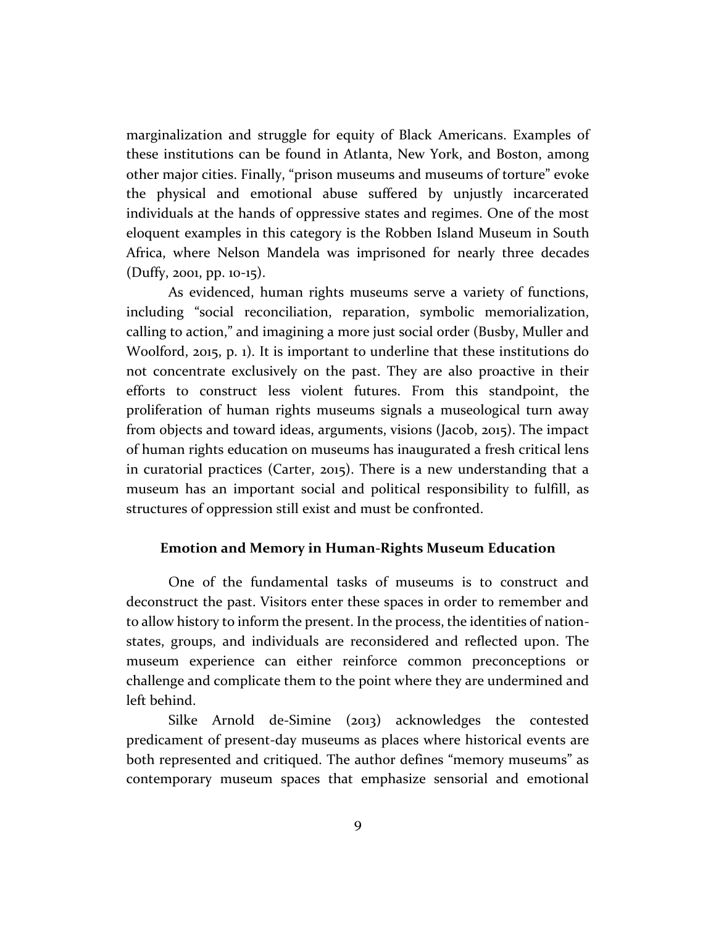marginalization and struggle for equity of Black Americans. Examples of these institutions can be found in Atlanta, New York, and Boston, among other major cities. Finally, "prison museums and museums of torture" evoke the physical and emotional abuse suffered by unjustly incarcerated individuals at the hands of oppressive states and regimes. One of the most eloquent examples in this category is the Robben Island Museum in South Africa, where Nelson Mandela was imprisoned for nearly three decades (Duffy, 2001, pp. 10-15).

As evidenced, human rights museums serve a variety of functions, including "social reconciliation, reparation, symbolic memorialization, calling to action," and imagining a more just social order (Busby, Muller and Woolford, 2015, p. 1). It is important to underline that these institutions do not concentrate exclusively on the past. They are also proactive in their efforts to construct less violent futures. From this standpoint, the proliferation of human rights museums signals a museological turn away from objects and toward ideas, arguments, visions (Jacob, 2015). The impact of human rights education on museums has inaugurated a fresh critical lens in curatorial practices (Carter, 2015). There is a new understanding that a museum has an important social and political responsibility to fulfill, as structures of oppression still exist and must be confronted.

#### **Emotion and Memory in Human-Rights Museum Education**

One of the fundamental tasks of museums is to construct and deconstruct the past. Visitors enter these spaces in order to remember and to allow history to inform the present. In the process, the identities of nationstates, groups, and individuals are reconsidered and reflected upon. The museum experience can either reinforce common preconceptions or challenge and complicate them to the point where they are undermined and left behind.

Silke Arnold de-Simine (2013) acknowledges the contested predicament of present-day museums as places where historical events are both represented and critiqued. The author defines "memory museums" as contemporary museum spaces that emphasize sensorial and emotional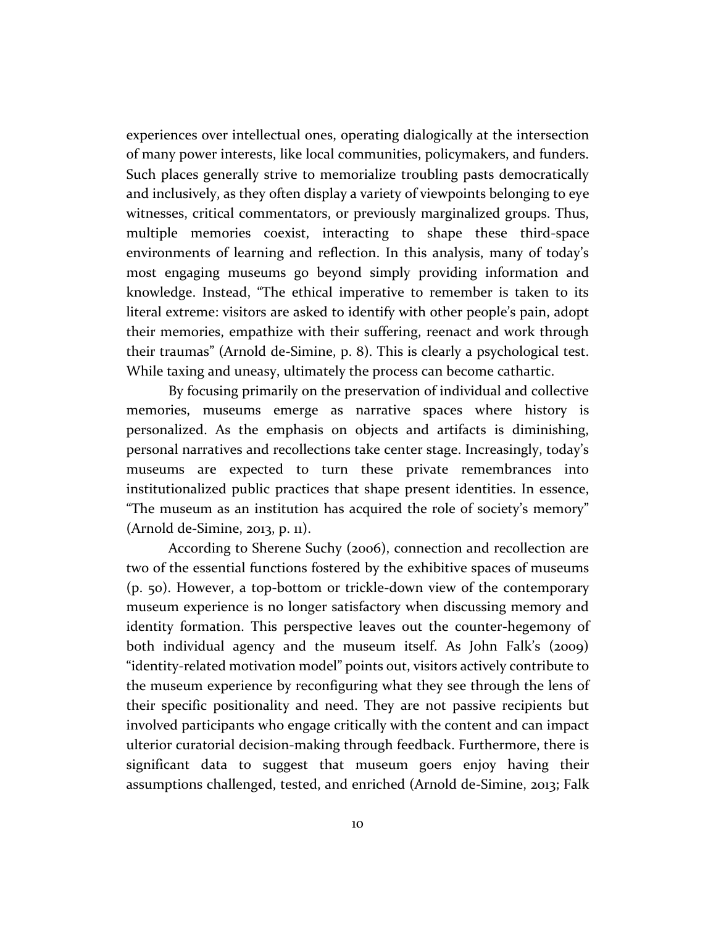experiences over intellectual ones, operating dialogically at the intersection of many power interests, like local communities, policymakers, and funders. Such places generally strive to memorialize troubling pasts democratically and inclusively, as they often display a variety of viewpoints belonging to eye witnesses, critical commentators, or previously marginalized groups. Thus, multiple memories coexist, interacting to shape these third-space environments of learning and reflection. In this analysis, many of today's most engaging museums go beyond simply providing information and knowledge. Instead, "The ethical imperative to remember is taken to its literal extreme: visitors are asked to identify with other people's pain, adopt their memories, empathize with their suffering, reenact and work through their traumas" (Arnold de-Simine, p. 8). This is clearly a psychological test. While taxing and uneasy, ultimately the process can become cathartic.

By focusing primarily on the preservation of individual and collective memories, museums emerge as narrative spaces where history is personalized. As the emphasis on objects and artifacts is diminishing, personal narratives and recollections take center stage. Increasingly, today's museums are expected to turn these private remembrances into institutionalized public practices that shape present identities. In essence, "The museum as an institution has acquired the role of society's memory" (Arnold de-Simine, 2013, p. 11).

According to Sherene Suchy (2006), connection and recollection are two of the essential functions fostered by the exhibitive spaces of museums (p. 50). However, a top-bottom or trickle-down view of the contemporary museum experience is no longer satisfactory when discussing memory and identity formation. This perspective leaves out the counter-hegemony of both individual agency and the museum itself. As John Falk's (2009) "identity-related motivation model" points out, visitors actively contribute to the museum experience by reconfiguring what they see through the lens of their specific positionality and need. They are not passive recipients but involved participants who engage critically with the content and can impact ulterior curatorial decision-making through feedback. Furthermore, there is significant data to suggest that museum goers enjoy having their assumptions challenged, tested, and enriched (Arnold de-Simine, 2013; Falk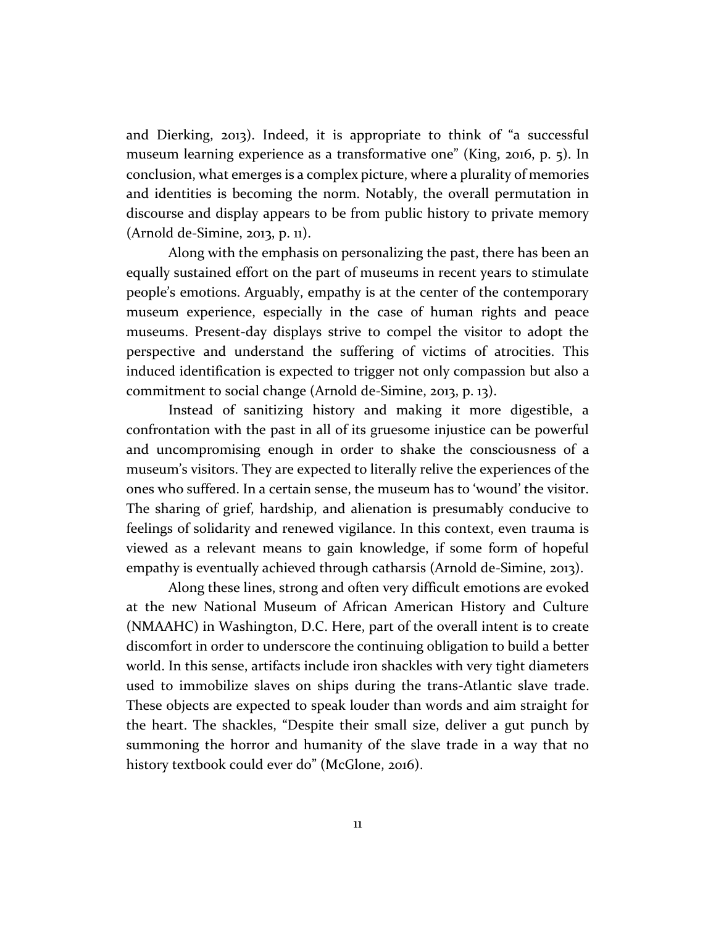and Dierking, 2013). Indeed, it is appropriate to think of "a successful museum learning experience as a transformative one" (King, 2016, p. 5). In conclusion, what emerges is a complex picture, where a plurality of memories and identities is becoming the norm. Notably, the overall permutation in discourse and display appears to be from public history to private memory (Arnold de-Simine, 2013, p. 11).

Along with the emphasis on personalizing the past, there has been an equally sustained effort on the part of museums in recent years to stimulate people's emotions. Arguably, empathy is at the center of the contemporary museum experience, especially in the case of human rights and peace museums. Present-day displays strive to compel the visitor to adopt the perspective and understand the suffering of victims of atrocities. This induced identification is expected to trigger not only compassion but also a commitment to social change (Arnold de-Simine, 2013, p. 13).

Instead of sanitizing history and making it more digestible, a confrontation with the past in all of its gruesome injustice can be powerful and uncompromising enough in order to shake the consciousness of a museum's visitors. They are expected to literally relive the experiences of the ones who suffered. In a certain sense, the museum has to 'wound' the visitor. The sharing of grief, hardship, and alienation is presumably conducive to feelings of solidarity and renewed vigilance. In this context, even trauma is viewed as a relevant means to gain knowledge, if some form of hopeful empathy is eventually achieved through catharsis (Arnold de-Simine, 2013).

Along these lines, strong and often very difficult emotions are evoked at the new National Museum of African American History and Culture (NMAAHC) in Washington, D.C. Here, part of the overall intent is to create discomfort in order to underscore the continuing obligation to build a better world. In this sense, artifacts include iron shackles with very tight diameters used to immobilize slaves on ships during the trans-Atlantic slave trade. These objects are expected to speak louder than words and aim straight for the heart. The shackles, "Despite their small size, deliver a gut punch by summoning the horror and humanity of the slave trade in a way that no history textbook could ever do" (McGlone, 2016).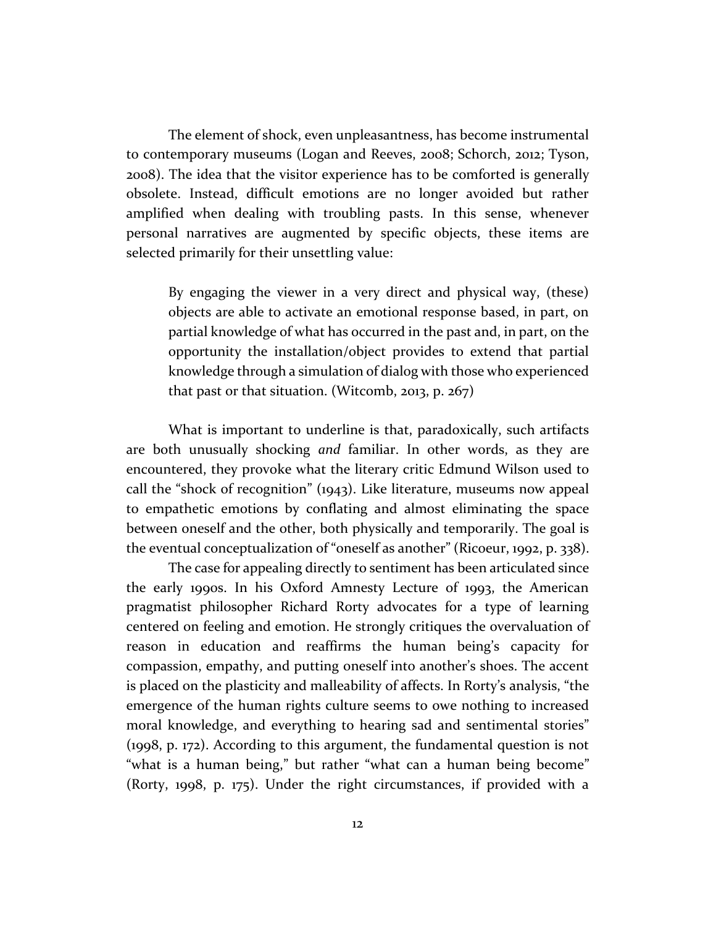The element of shock, even unpleasantness, has become instrumental to contemporary museums (Logan and Reeves, 2008; Schorch, 2012; Tyson, 2008). The idea that the visitor experience has to be comforted is generally obsolete. Instead, difficult emotions are no longer avoided but rather amplified when dealing with troubling pasts. In this sense, whenever personal narratives are augmented by specific objects, these items are selected primarily for their unsettling value:

By engaging the viewer in a very direct and physical way, (these) objects are able to activate an emotional response based, in part, on partial knowledge of what has occurred in the past and, in part, on the opportunity the installation/object provides to extend that partial knowledge through a simulation of dialog with those who experienced that past or that situation. (Witcomb, 2013, p. 267)

What is important to underline is that, paradoxically, such artifacts are both unusually shocking *and* familiar. In other words, as they are encountered, they provoke what the literary critic Edmund Wilson used to call the "shock of recognition" (1943). Like literature, museums now appeal to empathetic emotions by conflating and almost eliminating the space between oneself and the other, both physically and temporarily. The goal is the eventual conceptualization of "oneself as another" (Ricoeur, 1992, p. 338).

The case for appealing directly to sentiment has been articulated since the early 1990s. In his Oxford Amnesty Lecture of 1993, the American pragmatist philosopher Richard Rorty advocates for a type of learning centered on feeling and emotion. He strongly critiques the overvaluation of reason in education and reaffirms the human being's capacity for compassion, empathy, and putting oneself into another's shoes. The accent is placed on the plasticity and malleability of affects. In Rorty's analysis, "the emergence of the human rights culture seems to owe nothing to increased moral knowledge, and everything to hearing sad and sentimental stories" (1998, p. 172). According to this argument, the fundamental question is not "what is a human being," but rather "what can a human being become" (Rorty, 1998, p. 175). Under the right circumstances, if provided with a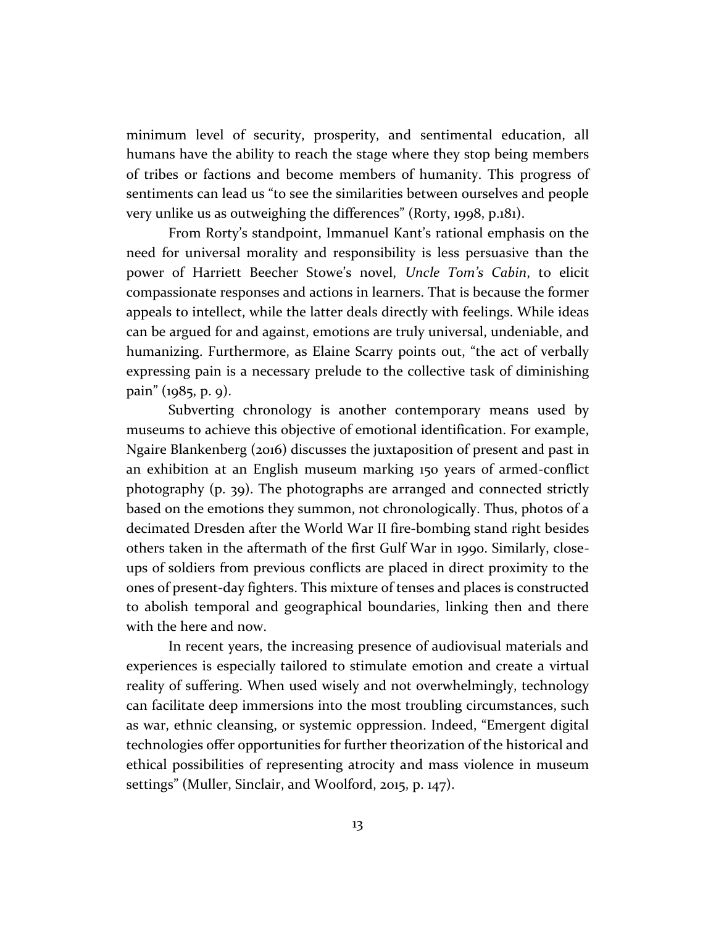minimum level of security, prosperity, and sentimental education, all humans have the ability to reach the stage where they stop being members of tribes or factions and become members of humanity. This progress of sentiments can lead us "to see the similarities between ourselves and people very unlike us as outweighing the differences" (Rorty, 1998, p.181).

From Rorty's standpoint, Immanuel Kant's rational emphasis on the need for universal morality and responsibility is less persuasive than the power of Harriett Beecher Stowe's novel, *Uncle Tom's Cabin*, to elicit compassionate responses and actions in learners. That is because the former appeals to intellect, while the latter deals directly with feelings. While ideas can be argued for and against, emotions are truly universal, undeniable, and humanizing. Furthermore, as Elaine Scarry points out, "the act of verbally expressing pain is a necessary prelude to the collective task of diminishing pain" (1985, p. 9).

Subverting chronology is another contemporary means used by museums to achieve this objective of emotional identification. For example, Ngaire Blankenberg (2016) discusses the juxtaposition of present and past in an exhibition at an English museum marking 150 years of armed-conflict photography (p. 39). The photographs are arranged and connected strictly based on the emotions they summon, not chronologically. Thus, photos of a decimated Dresden after the World War II fire-bombing stand right besides others taken in the aftermath of the first Gulf War in 1990. Similarly, closeups of soldiers from previous conflicts are placed in direct proximity to the ones of present-day fighters. This mixture of tenses and places is constructed to abolish temporal and geographical boundaries, linking then and there with the here and now.

In recent years, the increasing presence of audiovisual materials and experiences is especially tailored to stimulate emotion and create a virtual reality of suffering. When used wisely and not overwhelmingly, technology can facilitate deep immersions into the most troubling circumstances, such as war, ethnic cleansing, or systemic oppression. Indeed, "Emergent digital technologies offer opportunities for further theorization of the historical and ethical possibilities of representing atrocity and mass violence in museum settings" (Muller, Sinclair, and Woolford, 2015, p. 147).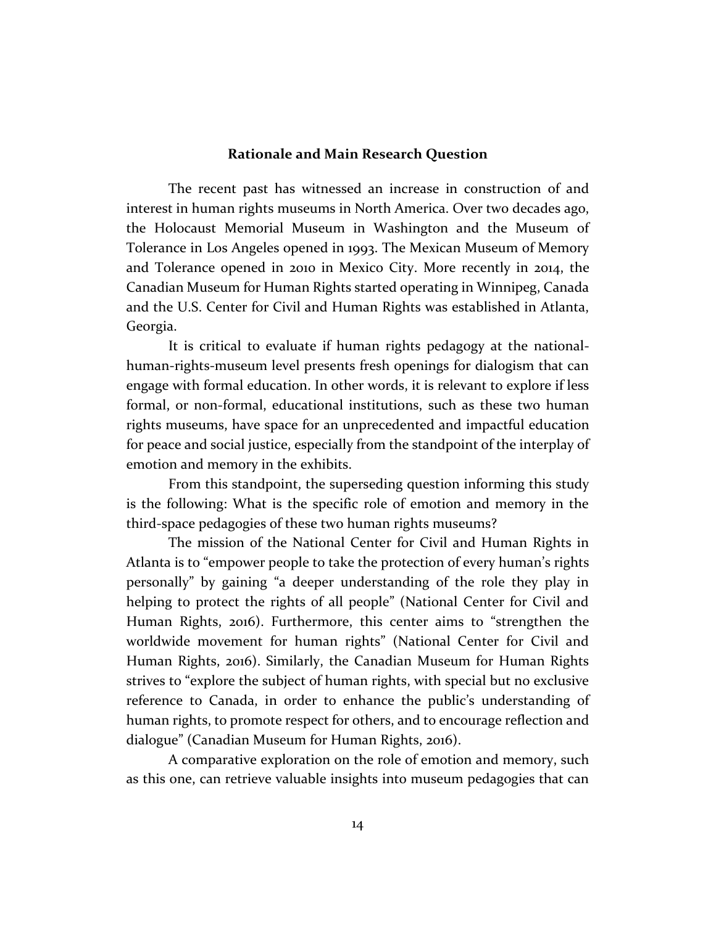#### **Rationale and Main Research Question**

The recent past has witnessed an increase in construction of and interest in human rights museums in North America. Over two decades ago, the Holocaust Memorial Museum in Washington and the Museum of Tolerance in Los Angeles opened in 1993. The Mexican Museum of Memory and Tolerance opened in 2010 in Mexico City. More recently in 2014, the Canadian Museum for Human Rights started operating in Winnipeg, Canada and the U.S. Center for Civil and Human Rights was established in Atlanta, Georgia.

It is critical to evaluate if human rights pedagogy at the nationalhuman-rights-museum level presents fresh openings for dialogism that can engage with formal education. In other words, it is relevant to explore if less formal, or non-formal, educational institutions, such as these two human rights museums, have space for an unprecedented and impactful education for peace and social justice, especially from the standpoint of the interplay of emotion and memory in the exhibits.

From this standpoint, the superseding question informing this study is the following: What is the specific role of emotion and memory in the third-space pedagogies of these two human rights museums?

The mission of the National Center for Civil and Human Rights in Atlanta is to "empower people to take the protection of every human's rights personally" by gaining "a deeper understanding of the role they play in helping to protect the rights of all people" (National Center for Civil and Human Rights, 2016). Furthermore, this center aims to "strengthen the worldwide movement for human rights" (National Center for Civil and Human Rights, 2016). Similarly, the Canadian Museum for Human Rights strives to "explore the subject of human rights, with special but no exclusive reference to Canada, in order to enhance the public's understanding of human rights, to promote respect for others, and to encourage reflection and dialogue" (Canadian Museum for Human Rights, 2016).

A comparative exploration on the role of emotion and memory, such as this one, can retrieve valuable insights into museum pedagogies that can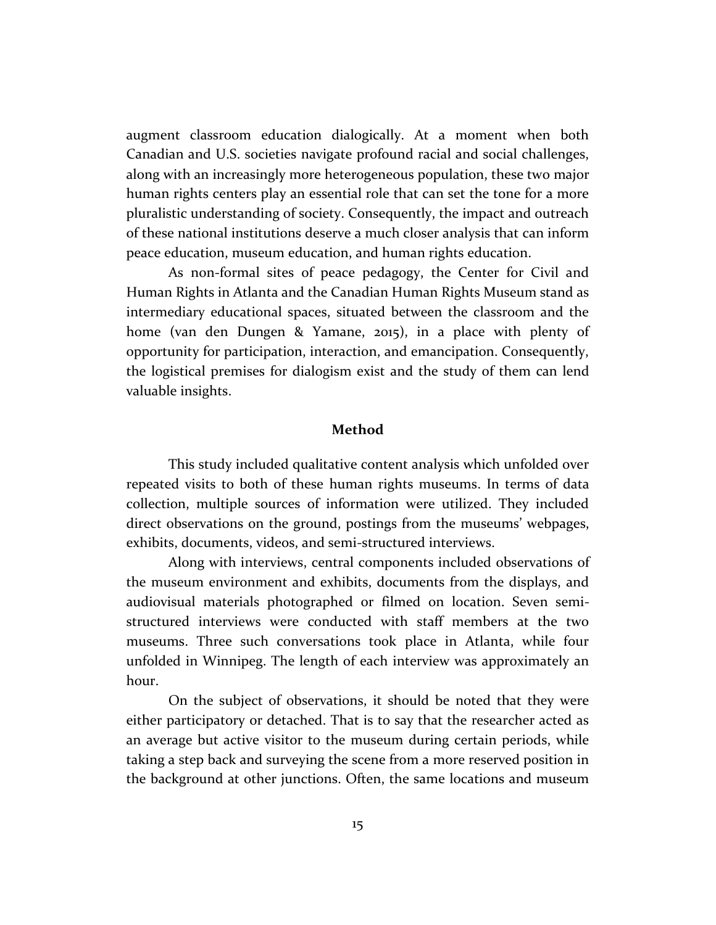augment classroom education dialogically. At a moment when both Canadian and U.S. societies navigate profound racial and social challenges, along with an increasingly more heterogeneous population, these two major human rights centers play an essential role that can set the tone for a more pluralistic understanding of society. Consequently, the impact and outreach of these national institutions deserve a much closer analysis that can inform peace education, museum education, and human rights education.

As non-formal sites of peace pedagogy, the Center for Civil and Human Rights in Atlanta and the Canadian Human Rights Museum stand as intermediary educational spaces, situated between the classroom and the home (van den Dungen & Yamane, 2015), in a place with plenty of opportunity for participation, interaction, and emancipation. Consequently, the logistical premises for dialogism exist and the study of them can lend valuable insights.

#### **Method**

This study included qualitative content analysis which unfolded over repeated visits to both of these human rights museums. In terms of data collection, multiple sources of information were utilized. They included direct observations on the ground, postings from the museums' webpages, exhibits, documents, videos, and semi-structured interviews.

Along with interviews, central components included observations of the museum environment and exhibits, documents from the displays, and audiovisual materials photographed or filmed on location. Seven semistructured interviews were conducted with staff members at the two museums. Three such conversations took place in Atlanta, while four unfolded in Winnipeg. The length of each interview was approximately an hour.

On the subject of observations, it should be noted that they were either participatory or detached. That is to say that the researcher acted as an average but active visitor to the museum during certain periods, while taking a step back and surveying the scene from a more reserved position in the background at other junctions. Often, the same locations and museum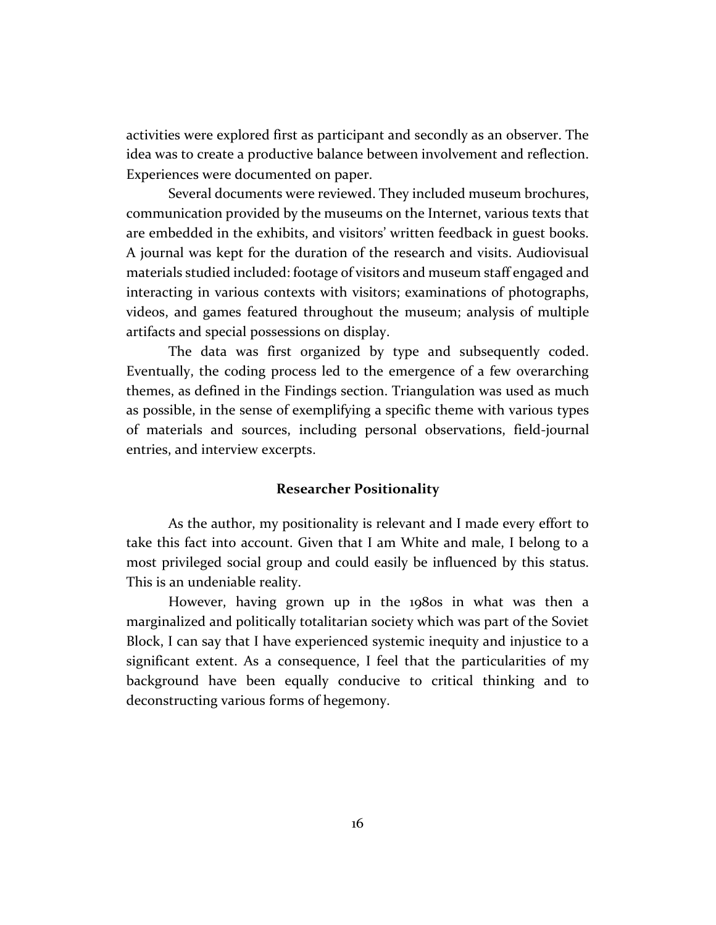activities were explored first as participant and secondly as an observer. The idea was to create a productive balance between involvement and reflection. Experiences were documented on paper.

Several documents were reviewed. They included museum brochures, communication provided by the museums on the Internet, various texts that are embedded in the exhibits, and visitors' written feedback in guest books. A journal was kept for the duration of the research and visits. Audiovisual materials studied included: footage of visitors and museum staff engaged and interacting in various contexts with visitors; examinations of photographs, videos, and games featured throughout the museum; analysis of multiple artifacts and special possessions on display.

The data was first organized by type and subsequently coded. Eventually, the coding process led to the emergence of a few overarching themes, as defined in the Findings section. Triangulation was used as much as possible, in the sense of exemplifying a specific theme with various types of materials and sources, including personal observations, field-journal entries, and interview excerpts.

#### **Researcher Positionality**

As the author, my positionality is relevant and I made every effort to take this fact into account. Given that I am White and male, I belong to a most privileged social group and could easily be influenced by this status. This is an undeniable reality.

However, having grown up in the 1980s in what was then a marginalized and politically totalitarian society which was part of the Soviet Block, I can say that I have experienced systemic inequity and injustice to a significant extent. As a consequence, I feel that the particularities of my background have been equally conducive to critical thinking and to deconstructing various forms of hegemony.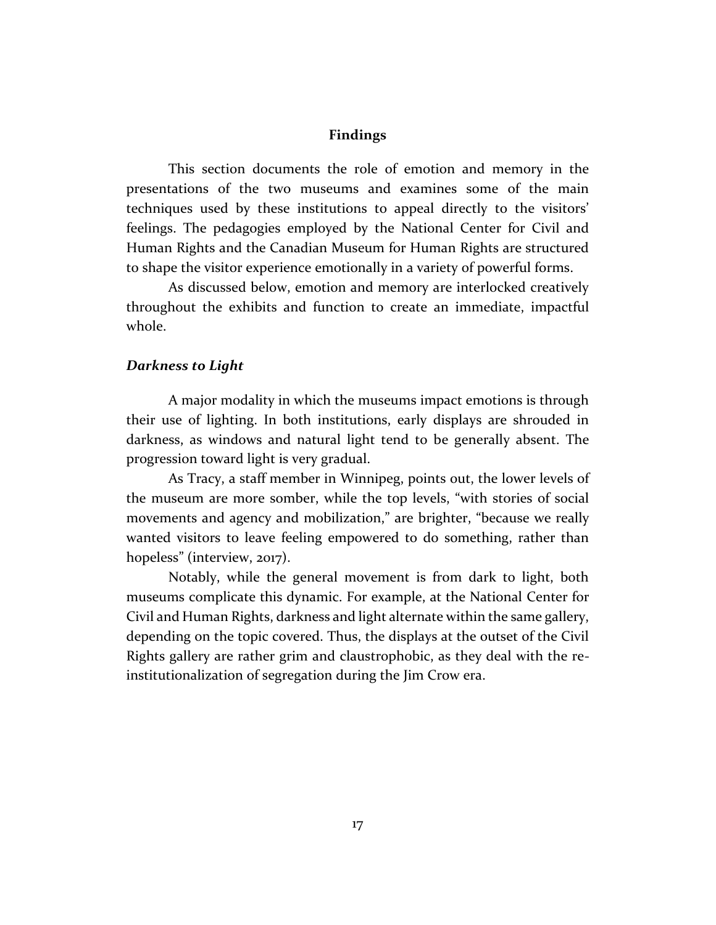#### **Findings**

This section documents the role of emotion and memory in the presentations of the two museums and examines some of the main techniques used by these institutions to appeal directly to the visitors' feelings. The pedagogies employed by the National Center for Civil and Human Rights and the Canadian Museum for Human Rights are structured to shape the visitor experience emotionally in a variety of powerful forms.

As discussed below, emotion and memory are interlocked creatively throughout the exhibits and function to create an immediate, impactful whole.

#### *Darkness to Light*

A major modality in which the museums impact emotions is through their use of lighting. In both institutions, early displays are shrouded in darkness, as windows and natural light tend to be generally absent. The progression toward light is very gradual.

As Tracy, a staff member in Winnipeg, points out, the lower levels of the museum are more somber, while the top levels, "with stories of social movements and agency and mobilization," are brighter, "because we really wanted visitors to leave feeling empowered to do something, rather than hopeless" (interview, 2017).

Notably, while the general movement is from dark to light, both museums complicate this dynamic. For example, at the National Center for Civil and Human Rights, darkness and light alternate within the same gallery, depending on the topic covered. Thus, the displays at the outset of the Civil Rights gallery are rather grim and claustrophobic, as they deal with the reinstitutionalization of segregation during the Jim Crow era.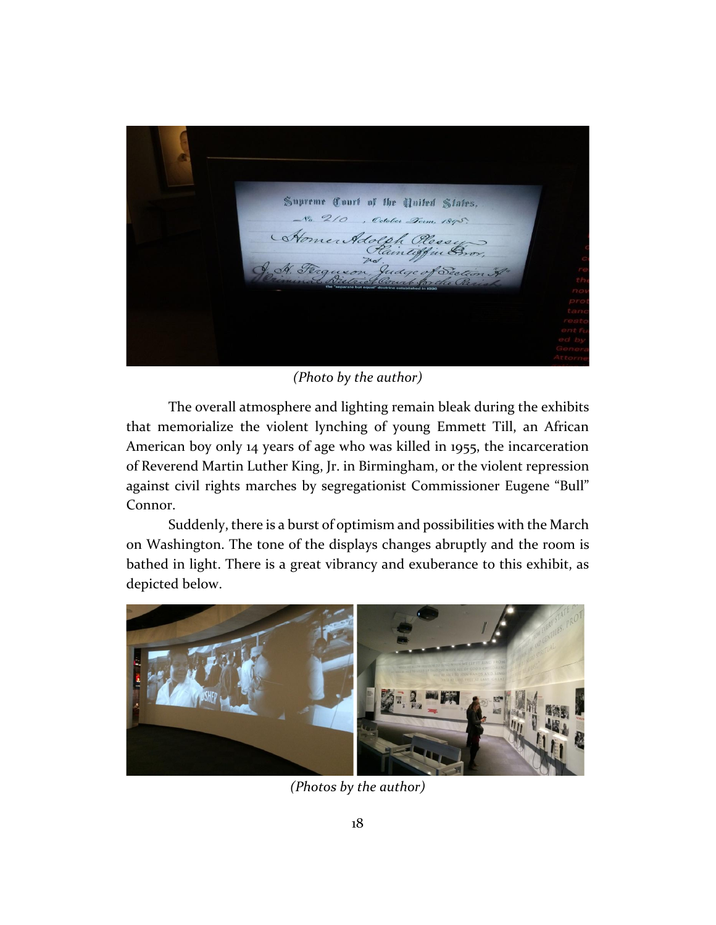

*(Photo by the author)*

The overall atmosphere and lighting remain bleak during the exhibits that memorialize the violent lynching of young Emmett Till, an African American boy only 14 years of age who was killed in 1955, the incarceration of Reverend Martin Luther King, Jr. in Birmingham, or the violent repression against civil rights marches by segregationist Commissioner Eugene "Bull" Connor.

Suddenly, there is a burst of optimism and possibilities with the March on Washington. The tone of the displays changes abruptly and the room is bathed in light. There is a great vibrancy and exuberance to this exhibit, as depicted below.



*(Photos by the author)*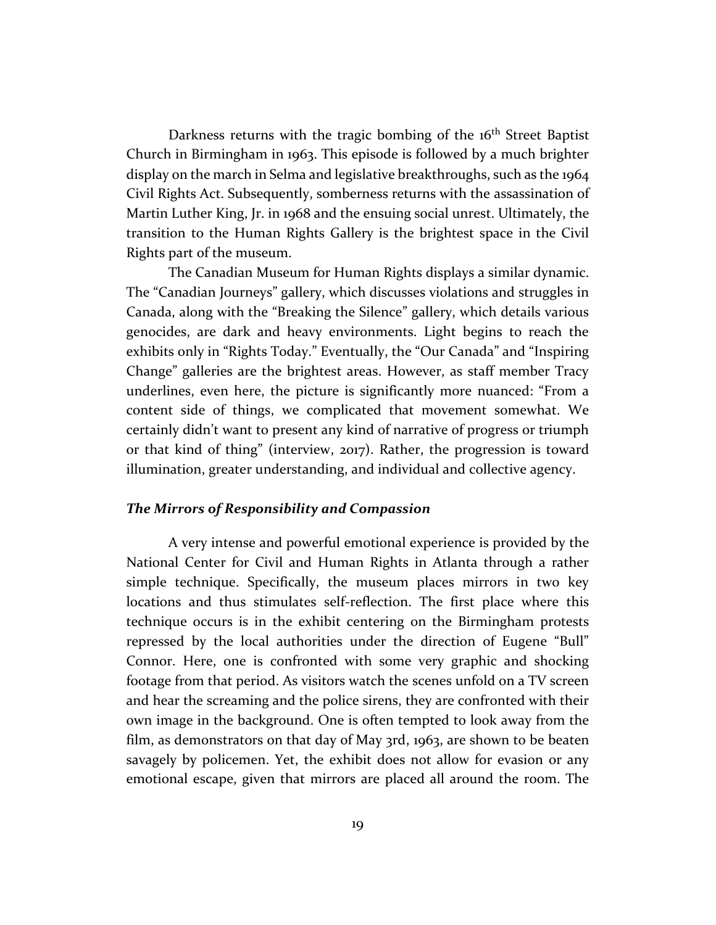Darkness returns with the tragic bombing of the 16<sup>th</sup> Street Baptist Church in Birmingham in 1963. This episode is followed by a much brighter display on the march in Selma and legislative breakthroughs, such as the 1964 Civil Rights Act. Subsequently, somberness returns with the assassination of Martin Luther King, Jr. in 1968 and the ensuing social unrest. Ultimately, the transition to the Human Rights Gallery is the brightest space in the Civil Rights part of the museum.

The Canadian Museum for Human Rights displays a similar dynamic. The "Canadian Journeys" gallery, which discusses violations and struggles in Canada, along with the "Breaking the Silence" gallery, which details various genocides, are dark and heavy environments. Light begins to reach the exhibits only in "Rights Today." Eventually, the "Our Canada" and "Inspiring Change" galleries are the brightest areas. However, as staff member Tracy underlines, even here, the picture is significantly more nuanced: "From a content side of things, we complicated that movement somewhat. We certainly didn't want to present any kind of narrative of progress or triumph or that kind of thing" (interview, 2017). Rather, the progression is toward illumination, greater understanding, and individual and collective agency.

#### *The Mirrors of Responsibility and Compassion*

A very intense and powerful emotional experience is provided by the National Center for Civil and Human Rights in Atlanta through a rather simple technique. Specifically, the museum places mirrors in two key locations and thus stimulates self-reflection. The first place where this technique occurs is in the exhibit centering on the Birmingham protests repressed by the local authorities under the direction of Eugene "Bull" Connor. Here, one is confronted with some very graphic and shocking footage from that period. As visitors watch the scenes unfold on a TV screen and hear the screaming and the police sirens, they are confronted with their own image in the background. One is often tempted to look away from the film, as demonstrators on that day of May 3rd, 1963, are shown to be beaten savagely by policemen. Yet, the exhibit does not allow for evasion or any emotional escape, given that mirrors are placed all around the room. The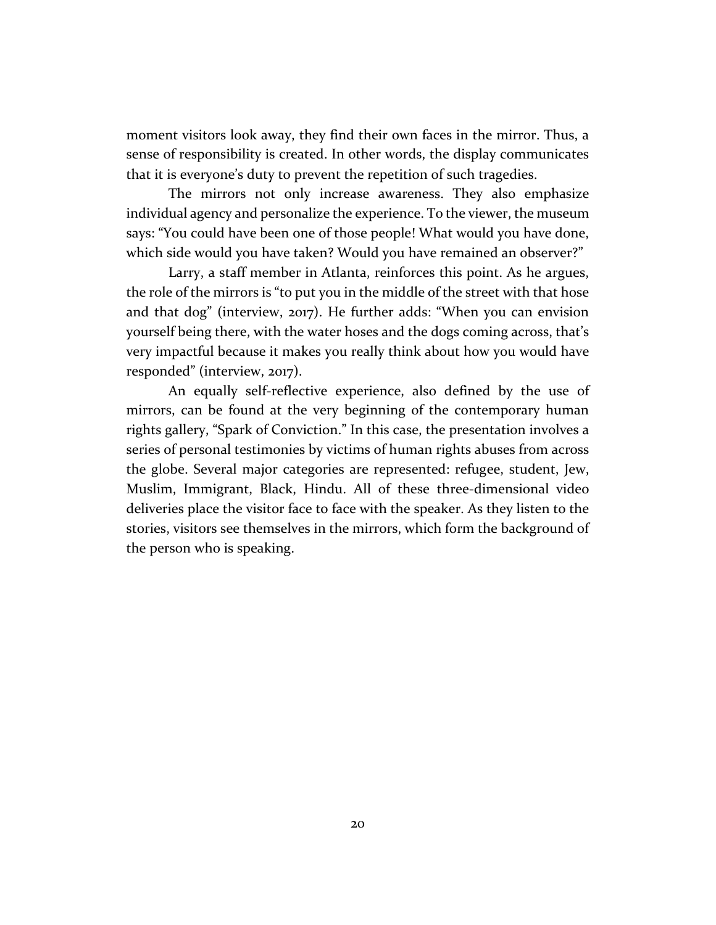moment visitors look away, they find their own faces in the mirror. Thus, a sense of responsibility is created. In other words, the display communicates that it is everyone's duty to prevent the repetition of such tragedies.

The mirrors not only increase awareness. They also emphasize individual agency and personalize the experience. To the viewer, the museum says: "You could have been one of those people! What would you have done, which side would you have taken? Would you have remained an observer?"

Larry, a staff member in Atlanta, reinforces this point. As he argues, the role of the mirrors is "to put you in the middle of the street with that hose and that dog" (interview, 2017). He further adds: "When you can envision yourself being there, with the water hoses and the dogs coming across, that's very impactful because it makes you really think about how you would have responded" (interview, 2017).

An equally self-reflective experience, also defined by the use of mirrors, can be found at the very beginning of the contemporary human rights gallery, "Spark of Conviction." In this case, the presentation involves a series of personal testimonies by victims of human rights abuses from across the globe. Several major categories are represented: refugee, student, Jew, Muslim, Immigrant, Black, Hindu. All of these three-dimensional video deliveries place the visitor face to face with the speaker. As they listen to the stories, visitors see themselves in the mirrors, which form the background of the person who is speaking.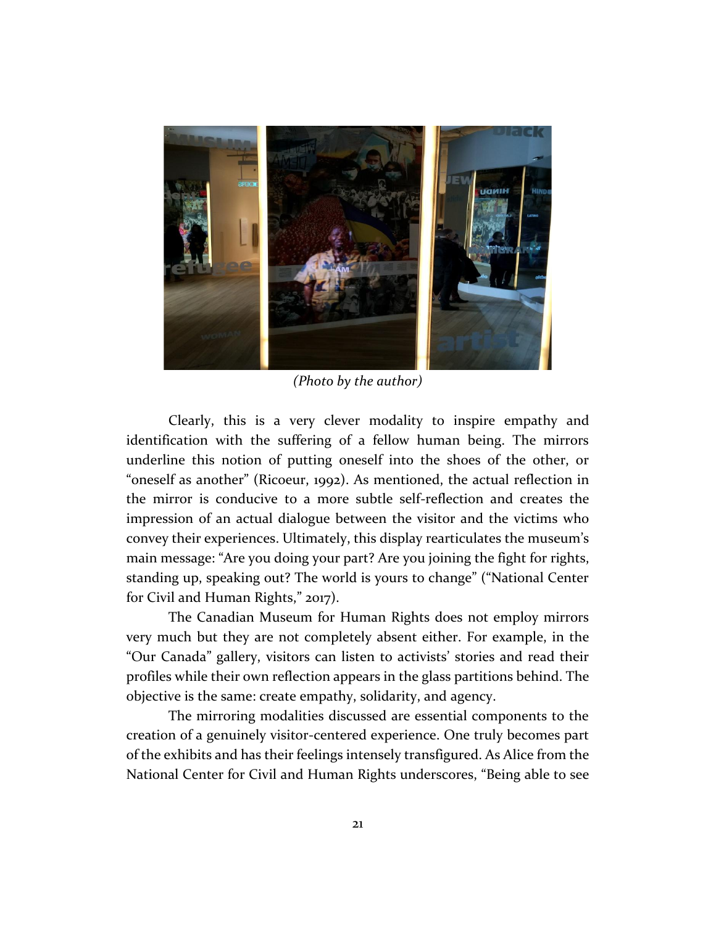

*(Photo by the author)*

Clearly, this is a very clever modality to inspire empathy and identification with the suffering of a fellow human being. The mirrors underline this notion of putting oneself into the shoes of the other, or "oneself as another" (Ricoeur, 1992). As mentioned, the actual reflection in the mirror is conducive to a more subtle self-reflection and creates the impression of an actual dialogue between the visitor and the victims who convey their experiences. Ultimately, this display rearticulates the museum's main message: "Are you doing your part? Are you joining the fight for rights, standing up, speaking out? The world is yours to change" ("National Center for Civil and Human Rights," 2017).

The Canadian Museum for Human Rights does not employ mirrors very much but they are not completely absent either. For example, in the "Our Canada" gallery, visitors can listen to activists' stories and read their profiles while their own reflection appears in the glass partitions behind. The objective is the same: create empathy, solidarity, and agency.

The mirroring modalities discussed are essential components to the creation of a genuinely visitor-centered experience. One truly becomes part of the exhibits and has their feelings intensely transfigured. As Alice from the National Center for Civil and Human Rights underscores, "Being able to see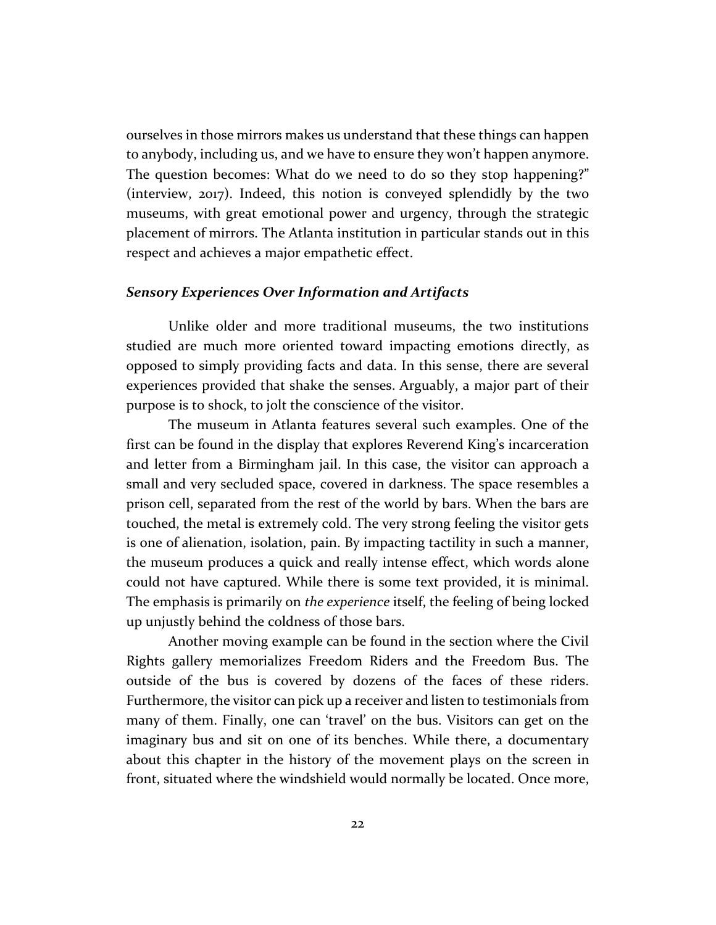ourselves in those mirrors makes us understand that these things can happen to anybody, including us, and we have to ensure they won't happen anymore. The question becomes: What do we need to do so they stop happening?" (interview, 2017). Indeed, this notion is conveyed splendidly by the two museums, with great emotional power and urgency, through the strategic placement of mirrors. The Atlanta institution in particular stands out in this respect and achieves a major empathetic effect.

#### *Sensory Experiences Over Information and Artifacts*

Unlike older and more traditional museums, the two institutions studied are much more oriented toward impacting emotions directly, as opposed to simply providing facts and data. In this sense, there are several experiences provided that shake the senses. Arguably, a major part of their purpose is to shock, to jolt the conscience of the visitor.

The museum in Atlanta features several such examples. One of the first can be found in the display that explores Reverend King's incarceration and letter from a Birmingham jail. In this case, the visitor can approach a small and very secluded space, covered in darkness. The space resembles a prison cell, separated from the rest of the world by bars. When the bars are touched, the metal is extremely cold. The very strong feeling the visitor gets is one of alienation, isolation, pain. By impacting tactility in such a manner, the museum produces a quick and really intense effect, which words alone could not have captured. While there is some text provided, it is minimal. The emphasis is primarily on *the experience* itself, the feeling of being locked up unjustly behind the coldness of those bars.

Another moving example can be found in the section where the Civil Rights gallery memorializes Freedom Riders and the Freedom Bus. The outside of the bus is covered by dozens of the faces of these riders. Furthermore, the visitor can pick up a receiver and listen to testimonials from many of them. Finally, one can 'travel' on the bus. Visitors can get on the imaginary bus and sit on one of its benches. While there, a documentary about this chapter in the history of the movement plays on the screen in front, situated where the windshield would normally be located. Once more,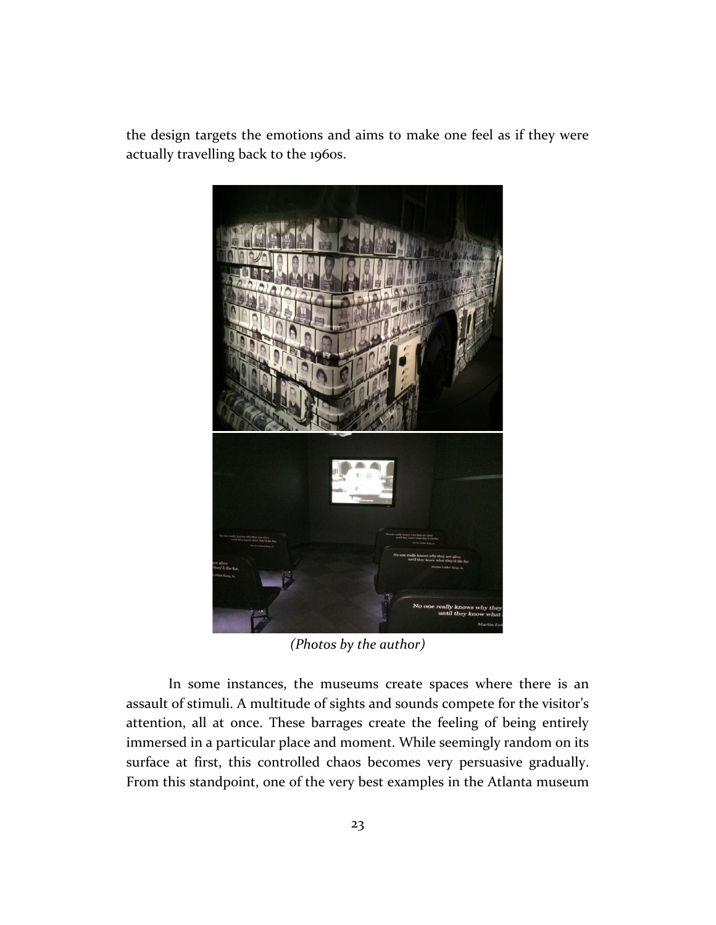the design targets the emotions and aims to make one feel as if they were actually travelling back to the 1960s.



*(Photos by the author)*

In some instances, the museums create spaces where there is an assault of stimuli. A multitude of sights and sounds compete for the visitor's attention, all at once. These barrages create the feeling of being entirely immersed in a particular place and moment. While seemingly random on its surface at first, this controlled chaos becomes very persuasive gradually. From this standpoint, one of the very best examples in the Atlanta museum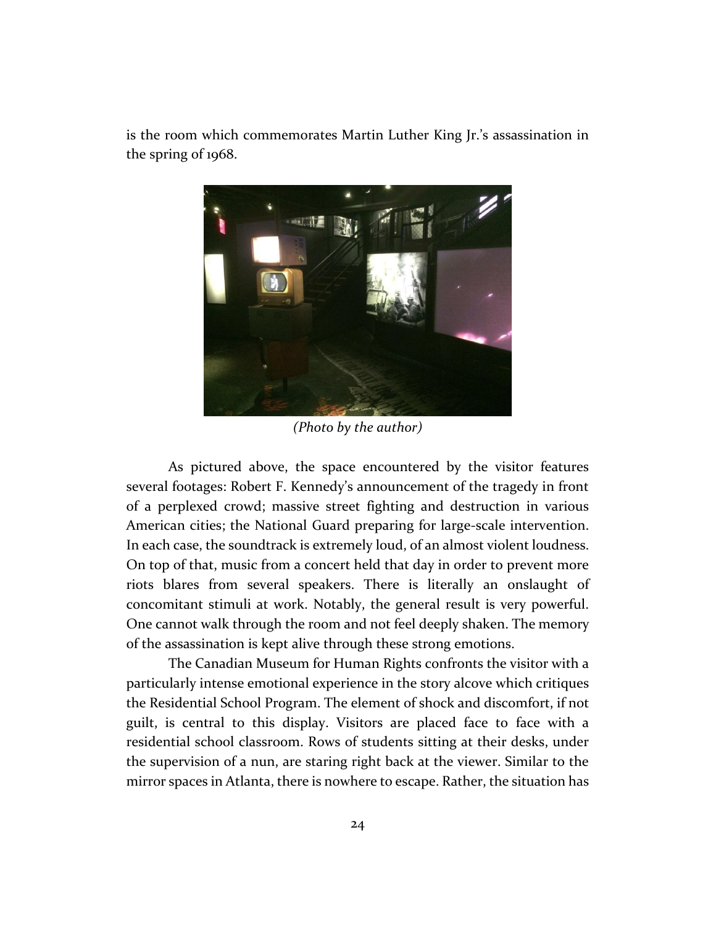is the room which commemorates Martin Luther King Jr.'s assassination in the spring of 1968.



*(Photo by the author)*

As pictured above, the space encountered by the visitor features several footages: Robert F. Kennedy's announcement of the tragedy in front of a perplexed crowd; massive street fighting and destruction in various American cities; the National Guard preparing for large-scale intervention. In each case, the soundtrack is extremely loud, of an almost violent loudness. On top of that, music from a concert held that day in order to prevent more riots blares from several speakers. There is literally an onslaught of concomitant stimuli at work. Notably, the general result is very powerful. One cannot walk through the room and not feel deeply shaken. The memory of the assassination is kept alive through these strong emotions.

The Canadian Museum for Human Rights confronts the visitor with a particularly intense emotional experience in the story alcove which critiques the Residential School Program. The element of shock and discomfort, if not guilt, is central to this display. Visitors are placed face to face with a residential school classroom. Rows of students sitting at their desks, under the supervision of a nun, are staring right back at the viewer. Similar to the mirror spaces in Atlanta, there is nowhere to escape. Rather, the situation has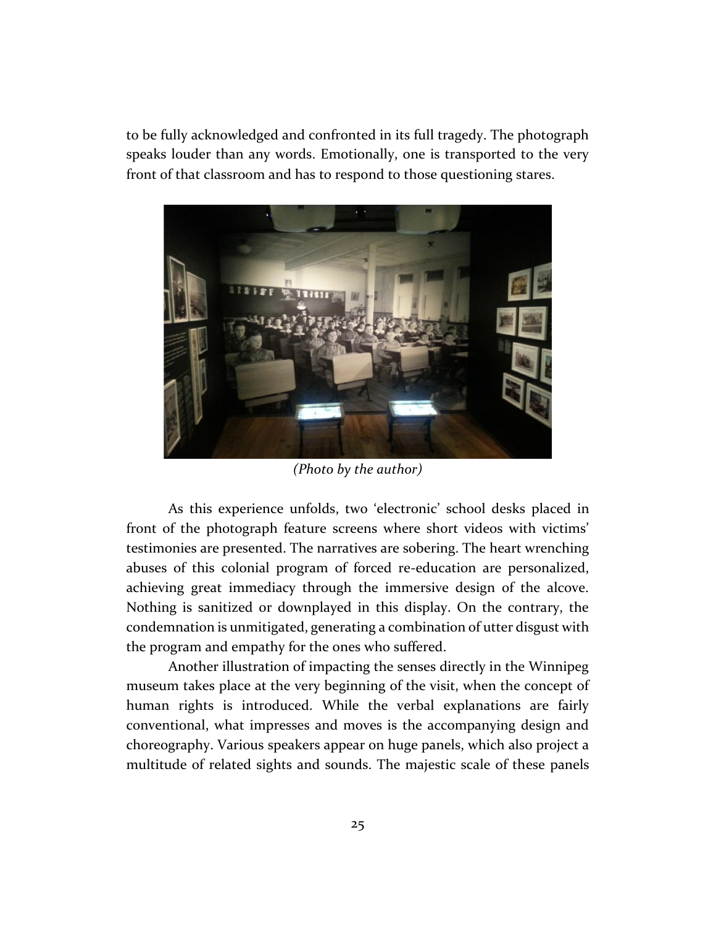to be fully acknowledged and confronted in its full tragedy. The photograph speaks louder than any words. Emotionally, one is transported to the very front of that classroom and has to respond to those questioning stares.



*(Photo by the author)*

As this experience unfolds, two 'electronic' school desks placed in front of the photograph feature screens where short videos with victims' testimonies are presented. The narratives are sobering. The heart wrenching abuses of this colonial program of forced re-education are personalized, achieving great immediacy through the immersive design of the alcove. Nothing is sanitized or downplayed in this display. On the contrary, the condemnation is unmitigated, generating a combination of utter disgust with the program and empathy for the ones who suffered.

Another illustration of impacting the senses directly in the Winnipeg museum takes place at the very beginning of the visit, when the concept of human rights is introduced. While the verbal explanations are fairly conventional, what impresses and moves is the accompanying design and choreography. Various speakers appear on huge panels, which also project a multitude of related sights and sounds. The majestic scale of these panels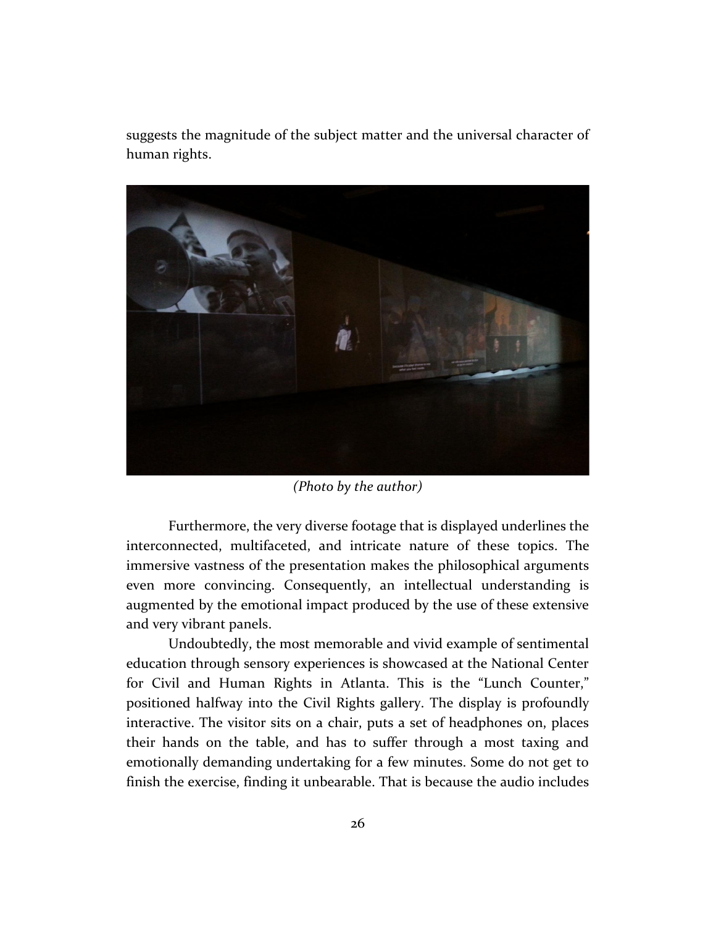suggests the magnitude of the subject matter and the universal character of human rights.



*(Photo by the author)*

Furthermore, the very diverse footage that is displayed underlines the interconnected, multifaceted, and intricate nature of these topics. The immersive vastness of the presentation makes the philosophical arguments even more convincing. Consequently, an intellectual understanding is augmented by the emotional impact produced by the use of these extensive and very vibrant panels.

Undoubtedly, the most memorable and vivid example of sentimental education through sensory experiences is showcased at the National Center for Civil and Human Rights in Atlanta. This is the "Lunch Counter," positioned halfway into the Civil Rights gallery. The display is profoundly interactive. The visitor sits on a chair, puts a set of headphones on, places their hands on the table, and has to suffer through a most taxing and emotionally demanding undertaking for a few minutes. Some do not get to finish the exercise, finding it unbearable. That is because the audio includes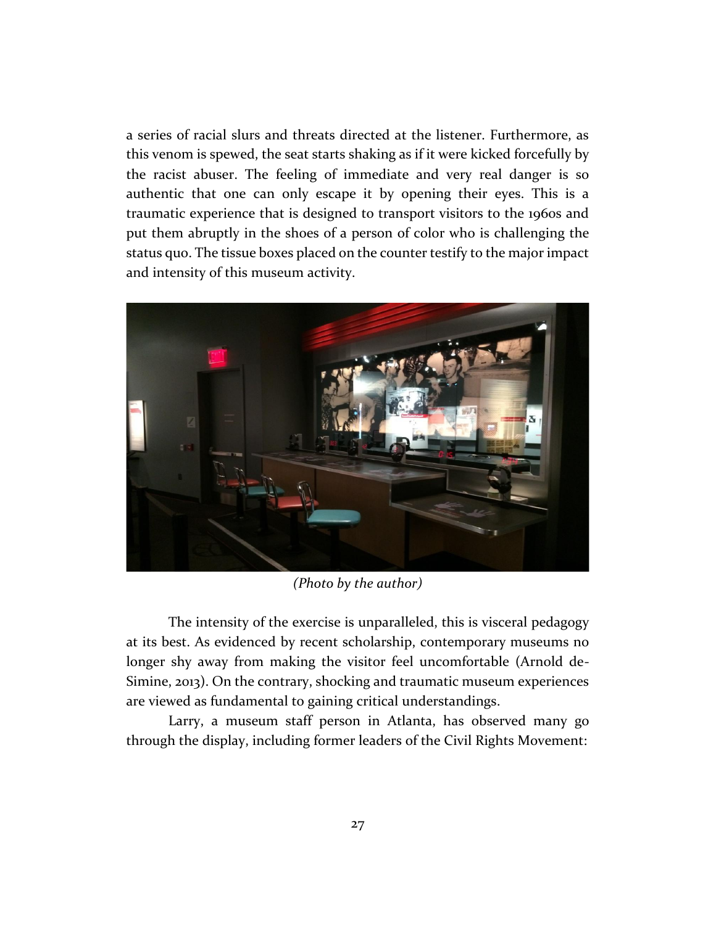a series of racial slurs and threats directed at the listener. Furthermore, as this venom is spewed, the seat starts shaking as if it were kicked forcefully by the racist abuser. The feeling of immediate and very real danger is so authentic that one can only escape it by opening their eyes. This is a traumatic experience that is designed to transport visitors to the 1960s and put them abruptly in the shoes of a person of color who is challenging the status quo. The tissue boxes placed on the counter testify to the major impact and intensity of this museum activity.



*(Photo by the author)*

The intensity of the exercise is unparalleled, this is visceral pedagogy at its best. As evidenced by recent scholarship, contemporary museums no longer shy away from making the visitor feel uncomfortable (Arnold de-Simine, 2013). On the contrary, shocking and traumatic museum experiences are viewed as fundamental to gaining critical understandings.

Larry, a museum staff person in Atlanta, has observed many go through the display, including former leaders of the Civil Rights Movement: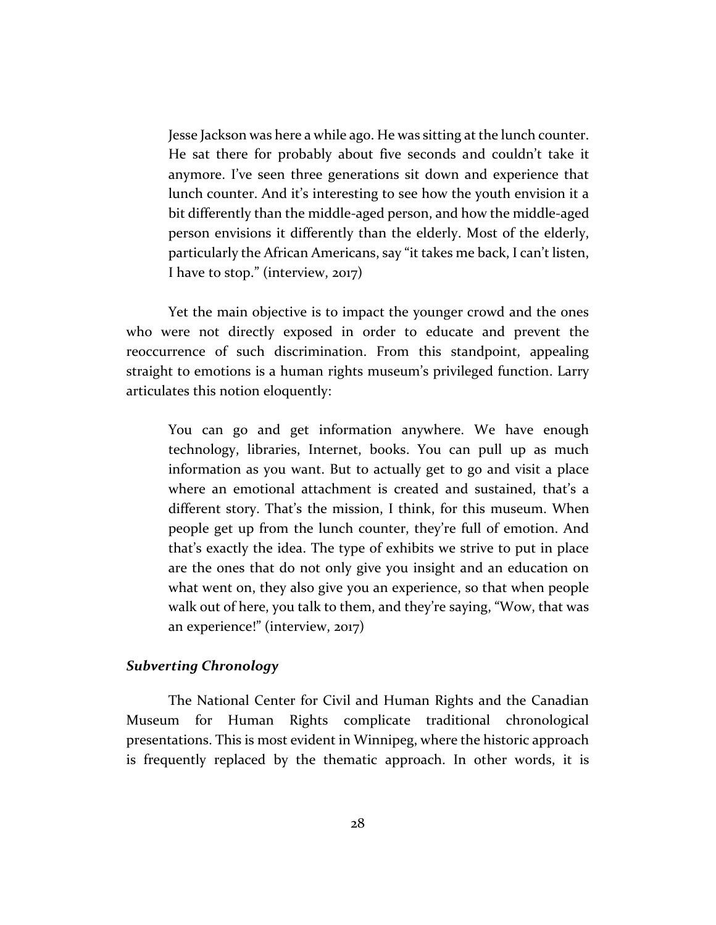Jesse Jackson was here a while ago. He was sitting at the lunch counter. He sat there for probably about five seconds and couldn't take it anymore. I've seen three generations sit down and experience that lunch counter. And it's interesting to see how the youth envision it a bit differently than the middle-aged person, and how the middle-aged person envisions it differently than the elderly. Most of the elderly, particularly the African Americans, say "it takes me back, I can't listen, I have to stop." (interview, 2017)

Yet the main objective is to impact the younger crowd and the ones who were not directly exposed in order to educate and prevent the reoccurrence of such discrimination. From this standpoint, appealing straight to emotions is a human rights museum's privileged function. Larry articulates this notion eloquently:

You can go and get information anywhere. We have enough technology, libraries, Internet, books. You can pull up as much information as you want. But to actually get to go and visit a place where an emotional attachment is created and sustained, that's a different story. That's the mission, I think, for this museum. When people get up from the lunch counter, they're full of emotion. And that's exactly the idea. The type of exhibits we strive to put in place are the ones that do not only give you insight and an education on what went on, they also give you an experience, so that when people walk out of here, you talk to them, and they're saying, "Wow, that was an experience!" (interview, 2017)

#### *Subverting Chronology*

The National Center for Civil and Human Rights and the Canadian Museum for Human Rights complicate traditional chronological presentations. This is most evident in Winnipeg, where the historic approach is frequently replaced by the thematic approach. In other words, it is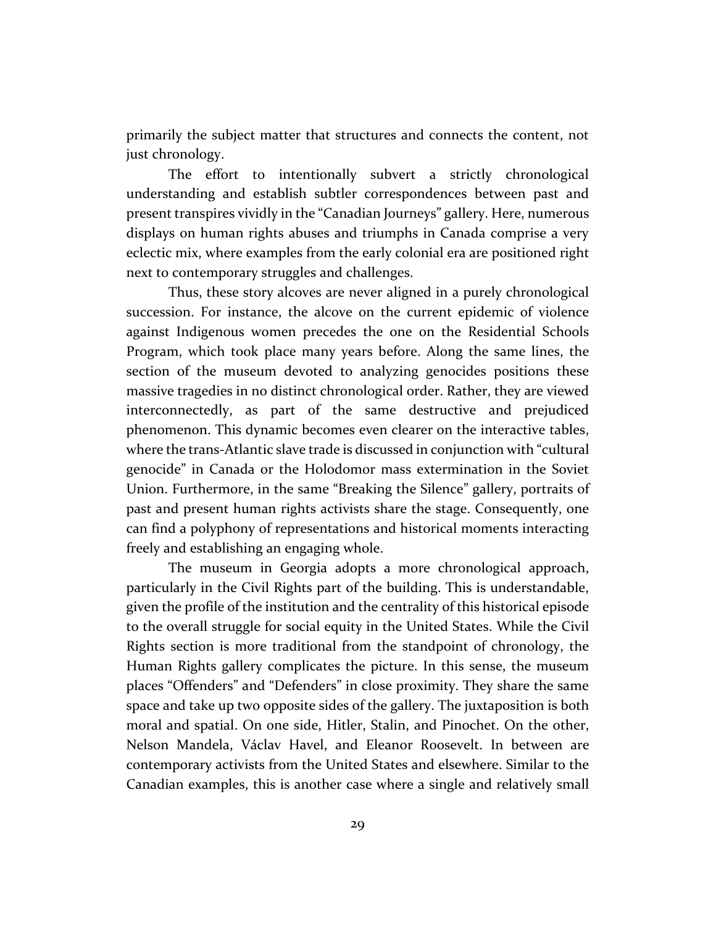primarily the subject matter that structures and connects the content, not just chronology.

The effort to intentionally subvert a strictly chronological understanding and establish subtler correspondences between past and present transpires vividly in the "Canadian Journeys" gallery. Here, numerous displays on human rights abuses and triumphs in Canada comprise a very eclectic mix, where examples from the early colonial era are positioned right next to contemporary struggles and challenges.

Thus, these story alcoves are never aligned in a purely chronological succession. For instance, the alcove on the current epidemic of violence against Indigenous women precedes the one on the Residential Schools Program, which took place many years before. Along the same lines, the section of the museum devoted to analyzing genocides positions these massive tragedies in no distinct chronological order. Rather, they are viewed interconnectedly, as part of the same destructive and prejudiced phenomenon. This dynamic becomes even clearer on the interactive tables, where the trans-Atlantic slave trade is discussed in conjunction with "cultural genocide" in Canada or the Holodomor mass extermination in the Soviet Union. Furthermore, in the same "Breaking the Silence" gallery, portraits of past and present human rights activists share the stage. Consequently, one can find a polyphony of representations and historical moments interacting freely and establishing an engaging whole.

The museum in Georgia adopts a more chronological approach, particularly in the Civil Rights part of the building. This is understandable, given the profile of the institution and the centrality of this historical episode to the overall struggle for social equity in the United States. While the Civil Rights section is more traditional from the standpoint of chronology, the Human Rights gallery complicates the picture. In this sense, the museum places "Offenders" and "Defenders" in close proximity. They share the same space and take up two opposite sides of the gallery. The juxtaposition is both moral and spatial. On one side, Hitler, Stalin, and Pinochet. On the other, Nelson Mandela, Václav Havel, and Eleanor Roosevelt. In between are contemporary activists from the United States and elsewhere. Similar to the Canadian examples, this is another case where a single and relatively small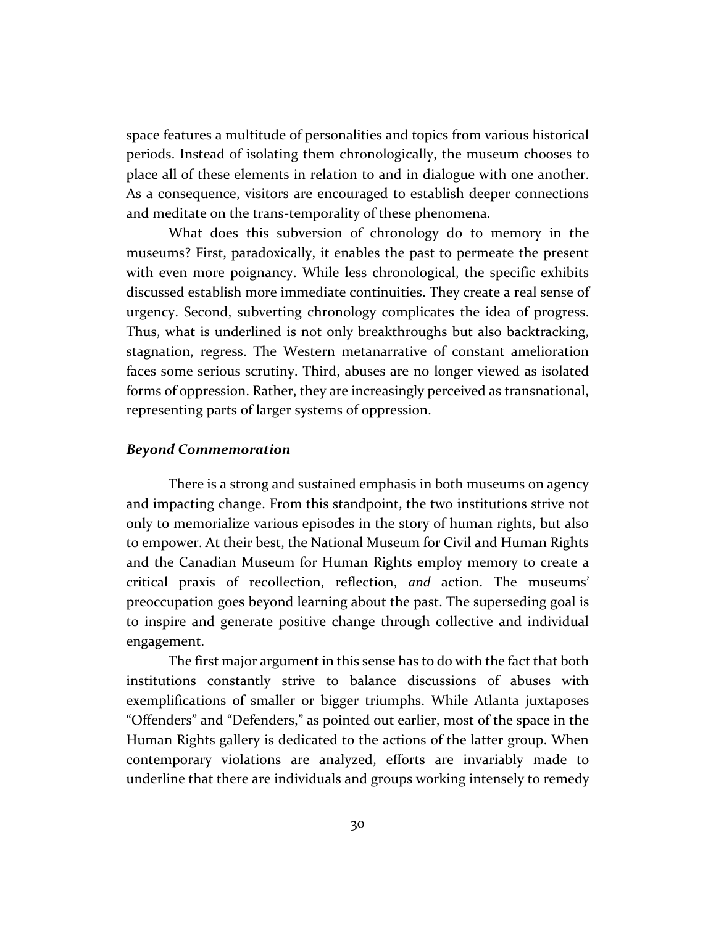space features a multitude of personalities and topics from various historical periods. Instead of isolating them chronologically, the museum chooses to place all of these elements in relation to and in dialogue with one another. As a consequence, visitors are encouraged to establish deeper connections and meditate on the trans-temporality of these phenomena.

What does this subversion of chronology do to memory in the museums? First, paradoxically, it enables the past to permeate the present with even more poignancy. While less chronological, the specific exhibits discussed establish more immediate continuities. They create a real sense of urgency. Second, subverting chronology complicates the idea of progress. Thus, what is underlined is not only breakthroughs but also backtracking, stagnation, regress. The Western metanarrative of constant amelioration faces some serious scrutiny. Third, abuses are no longer viewed as isolated forms of oppression. Rather, they are increasingly perceived as transnational, representing parts of larger systems of oppression.

#### *Beyond Commemoration*

There is a strong and sustained emphasis in both museums on agency and impacting change. From this standpoint, the two institutions strive not only to memorialize various episodes in the story of human rights, but also to empower. At their best, the National Museum for Civil and Human Rights and the Canadian Museum for Human Rights employ memory to create a critical praxis of recollection, reflection, *and* action. The museums' preoccupation goes beyond learning about the past. The superseding goal is to inspire and generate positive change through collective and individual engagement.

The first major argument in this sense has to do with the fact that both institutions constantly strive to balance discussions of abuses with exemplifications of smaller or bigger triumphs. While Atlanta juxtaposes "Offenders" and "Defenders," as pointed out earlier, most of the space in the Human Rights gallery is dedicated to the actions of the latter group. When contemporary violations are analyzed, efforts are invariably made to underline that there are individuals and groups working intensely to remedy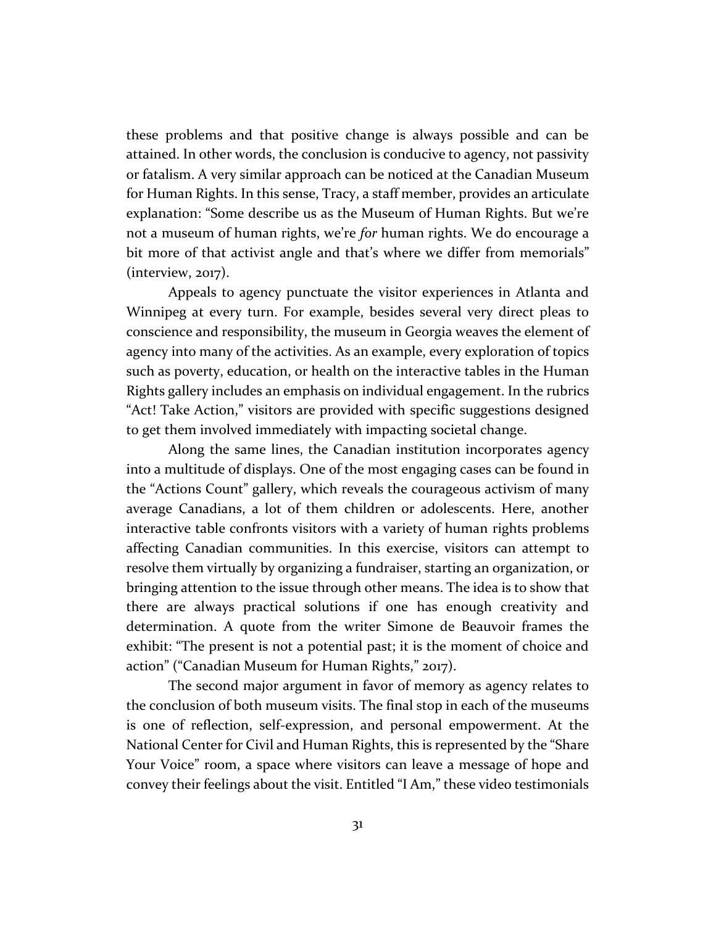these problems and that positive change is always possible and can be attained. In other words, the conclusion is conducive to agency, not passivity or fatalism. A very similar approach can be noticed at the Canadian Museum for Human Rights. In this sense, Tracy, a staff member, provides an articulate explanation: "Some describe us as the Museum of Human Rights. But we're not a museum of human rights, we're *for* human rights. We do encourage a bit more of that activist angle and that's where we differ from memorials" (interview, 2017).

Appeals to agency punctuate the visitor experiences in Atlanta and Winnipeg at every turn. For example, besides several very direct pleas to conscience and responsibility, the museum in Georgia weaves the element of agency into many of the activities. As an example, every exploration of topics such as poverty, education, or health on the interactive tables in the Human Rights gallery includes an emphasis on individual engagement. In the rubrics "Act! Take Action," visitors are provided with specific suggestions designed to get them involved immediately with impacting societal change.

Along the same lines, the Canadian institution incorporates agency into a multitude of displays. One of the most engaging cases can be found in the "Actions Count" gallery, which reveals the courageous activism of many average Canadians, a lot of them children or adolescents. Here, another interactive table confronts visitors with a variety of human rights problems affecting Canadian communities. In this exercise, visitors can attempt to resolve them virtually by organizing a fundraiser, starting an organization, or bringing attention to the issue through other means. The idea is to show that there are always practical solutions if one has enough creativity and determination. A quote from the writer Simone de Beauvoir frames the exhibit: "The present is not a potential past; it is the moment of choice and action" ("Canadian Museum for Human Rights," 2017).

The second major argument in favor of memory as agency relates to the conclusion of both museum visits. The final stop in each of the museums is one of reflection, self-expression, and personal empowerment. At the National Center for Civil and Human Rights, this is represented by the "Share Your Voice" room, a space where visitors can leave a message of hope and convey their feelings about the visit. Entitled "I Am," these video testimonials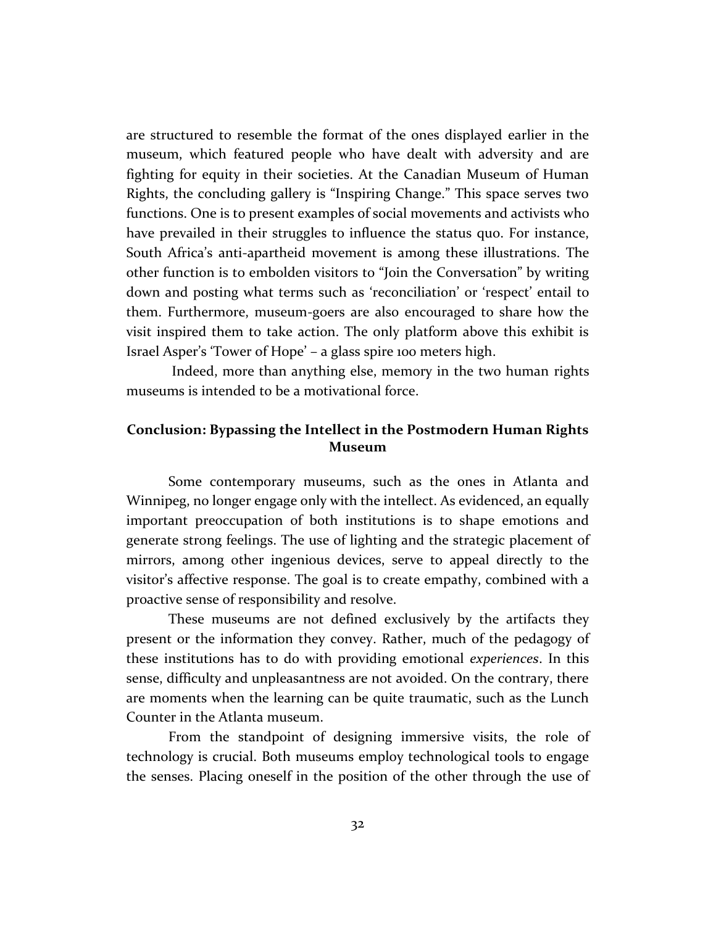are structured to resemble the format of the ones displayed earlier in the museum, which featured people who have dealt with adversity and are fighting for equity in their societies. At the Canadian Museum of Human Rights, the concluding gallery is "Inspiring Change." This space serves two functions. One is to present examples of social movements and activists who have prevailed in their struggles to influence the status quo. For instance, South Africa's anti-apartheid movement is among these illustrations. The other function is to embolden visitors to "Join the Conversation" by writing down and posting what terms such as 'reconciliation' or 'respect' entail to them. Furthermore, museum-goers are also encouraged to share how the visit inspired them to take action. The only platform above this exhibit is Israel Asper's 'Tower of Hope' – a glass spire 100 meters high.

Indeed, more than anything else, memory in the two human rights museums is intended to be a motivational force.

#### **Conclusion: Bypassing the Intellect in the Postmodern Human Rights Museum**

Some contemporary museums, such as the ones in Atlanta and Winnipeg, no longer engage only with the intellect. As evidenced, an equally important preoccupation of both institutions is to shape emotions and generate strong feelings. The use of lighting and the strategic placement of mirrors, among other ingenious devices, serve to appeal directly to the visitor's affective response. The goal is to create empathy, combined with a proactive sense of responsibility and resolve.

These museums are not defined exclusively by the artifacts they present or the information they convey. Rather, much of the pedagogy of these institutions has to do with providing emotional *experiences*. In this sense, difficulty and unpleasantness are not avoided. On the contrary, there are moments when the learning can be quite traumatic, such as the Lunch Counter in the Atlanta museum.

From the standpoint of designing immersive visits, the role of technology is crucial. Both museums employ technological tools to engage the senses. Placing oneself in the position of the other through the use of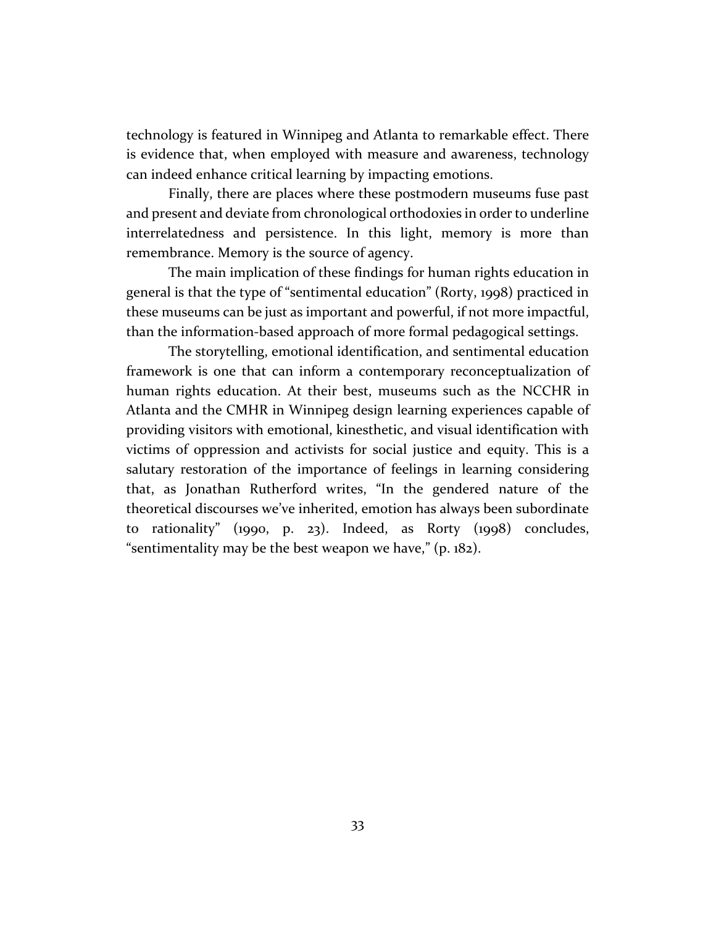technology is featured in Winnipeg and Atlanta to remarkable effect. There is evidence that, when employed with measure and awareness, technology can indeed enhance critical learning by impacting emotions.

Finally, there are places where these postmodern museums fuse past and present and deviate from chronological orthodoxies in order to underline interrelatedness and persistence. In this light, memory is more than remembrance. Memory is the source of agency.

The main implication of these findings for human rights education in general is that the type of "sentimental education" (Rorty, 1998) practiced in these museums can be just as important and powerful, if not more impactful, than the information-based approach of more formal pedagogical settings.

The storytelling, emotional identification, and sentimental education framework is one that can inform a contemporary reconceptualization of human rights education. At their best, museums such as the NCCHR in Atlanta and the CMHR in Winnipeg design learning experiences capable of providing visitors with emotional, kinesthetic, and visual identification with victims of oppression and activists for social justice and equity. This is a salutary restoration of the importance of feelings in learning considering that, as Jonathan Rutherford writes, "In the gendered nature of the theoretical discourses we've inherited, emotion has always been subordinate to rationality" (1990, p. 23). Indeed, as Rorty (1998) concludes, "sentimentality may be the best weapon we have," (p. 182).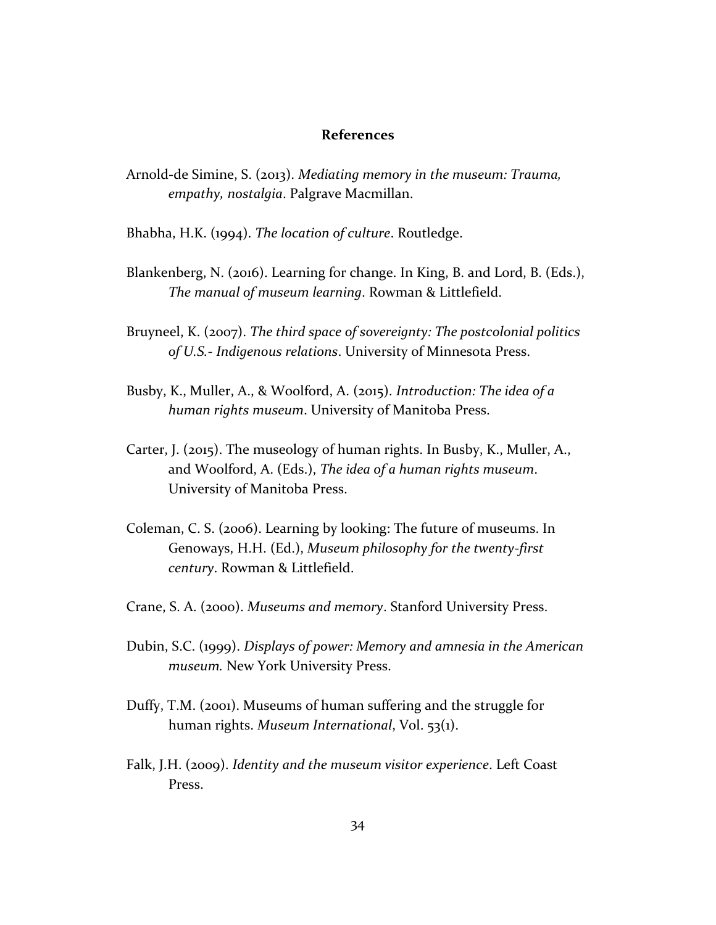#### **References**

- Arnold-de Simine, S. (2013). *Mediating memory in the museum: Trauma, empathy, nostalgia*. Palgrave Macmillan.
- Bhabha, H.K. (1994). *The location of culture*. Routledge.
- Blankenberg, N. (2016). Learning for change. In King, B. and Lord, B. (Eds.), *The manual of museum learning*. Rowman & Littlefield.
- Bruyneel, K. (2007). *The third space of sovereignty: The postcolonial politics of U.S.- Indigenous relations*. University of Minnesota Press.
- Busby, K., Muller, A., & Woolford, A. (2015). *Introduction: The idea of a human rights museum*. University of Manitoba Press.
- Carter, J. (2015). The museology of human rights. In Busby, K., Muller, A., and Woolford, A. (Eds.), *The idea of a human rights museum*. University of Manitoba Press.
- Coleman, C. S. (2006). Learning by looking: The future of museums. In Genoways, H.H. (Ed.), *Museum philosophy for the twenty-first century*. Rowman & Littlefield.
- Crane, S. A. (2000). *Museums and memory*. Stanford University Press.
- Dubin, S.C. (1999). *Displays of power: Memory and amnesia in the American museum.* New York University Press.
- Duffy, T.M. (2001). Museums of human suffering and the struggle for human rights. *Museum International*, Vol. 53(1).
- Falk, J.H. (2009). *Identity and the museum visitor experience*. Left Coast Press.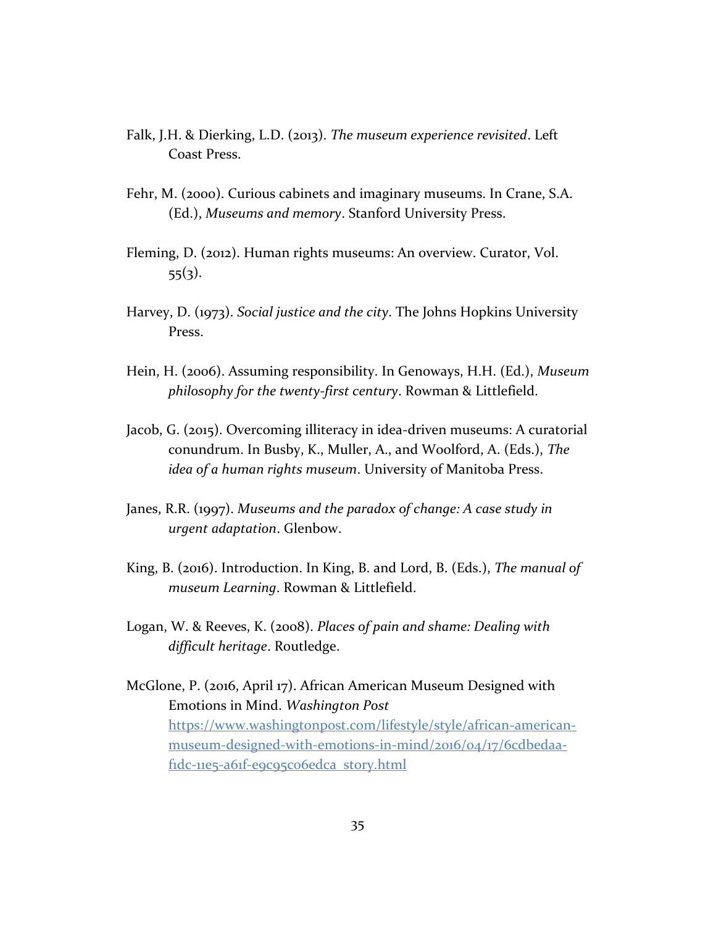- Falk, J.H. & Dierking, L.D. (2013). *The museum experience revisited*. Left Coast Press.
- Fehr, M. (2000). Curious cabinets and imaginary museums. In Crane, S.A. (Ed.), *Museums and memory*. Stanford University Press.
- Fleming, D. (2012). Human rights museums: An overview. Curator, Vol.  $55(3)$ .
- Harvey, D. (1973). *Social justice and the city*. The Johns Hopkins University Press.
- Hein, H. (2006). Assuming responsibility. In Genoways, H.H. (Ed.), *Museum philosophy for the twenty-first century*. Rowman & Littlefield.
- Jacob, G. (2015). Overcoming illiteracy in idea-driven museums: A curatorial conundrum. In Busby, K., Muller, A., and Woolford, A. (Eds.), *The idea of a human rights museum*. University of Manitoba Press.
- Janes, R.R. (1997). *Museums and the paradox of change: A case study in urgent adaptation*. Glenbow.
- King, B. (2016). Introduction. In King, B. and Lord, B. (Eds.), *The manual of museum Learning*. Rowman & Littlefield.
- Logan, W. & Reeves, K. (2008). *Places of pain and shame: Dealing with difficult heritage*. Routledge.
- McGlone, P. (2016, April 17). African American Museum Designed with Emotions in Mind. *Washington Post* [https://www.washingtonpost.com/lifestyle/style/african-american](https://www.washingtonpost.com/lifestyle/style/african-american-museum-designed-with-emotions-in-mind/2016/04/17/6cdbedaa-f1dc-11e5-a61f-e9c95c06edca_story.html)[museum-designed-with-emotions-in-mind/2016/04/17/6cdbedaa](https://www.washingtonpost.com/lifestyle/style/african-american-museum-designed-with-emotions-in-mind/2016/04/17/6cdbedaa-f1dc-11e5-a61f-e9c95c06edca_story.html)fidc-11e5-a61f-e9c95co6edca\_story.html